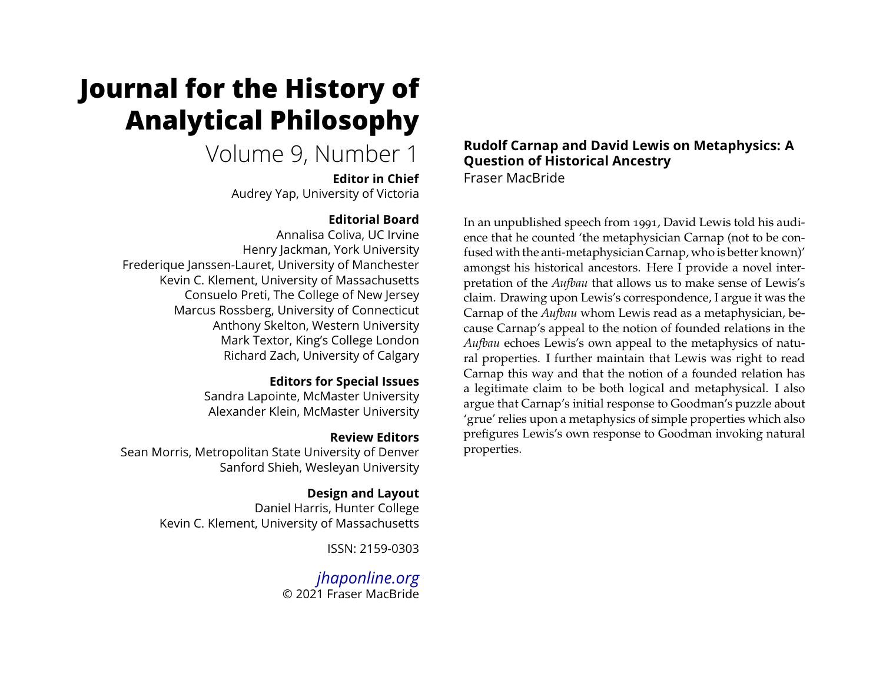# **Journal for the History of Analytical Philosophy**

# Volume 9, Number 1

**Editor in Chief** Audrey Yap, University of Victoria

# **Editorial Board**

Annalisa Coliva, UC Irvine Henry Jackman, York University Frederique Janssen-Lauret, University of Manchester Kevin C. Klement, University of Massachusetts Consuelo Preti, The College of New Jersey Marcus Rossberg, University of Connecticut Anthony Skelton, Western University Mark Textor, King's College London Richard Zach, University of Calgary

# **Editors for Special Issues**

Sandra Lapointe, McMaster University Alexander Klein, McMaster University

# **Review Editors**

Sean Morris, Metropolitan State University of Denver Sanford Shieh, Wesleyan University

# **Design and Layout**

Daniel Harris, Hunter College Kevin C. Klement, University of Massachusetts

ISSN: 2159-0303

*[jhaponline.org](https://jhaponline.org)* © 2021 Fraser MacBride

# **Rudolf Carnap and David Lewis on Metaphysics: A Question of Historical Ancestry** Fraser MacBride

In an unpublished speech from 1991, David Lewis told his audience that he counted 'the metaphysician Carnap (not to be confused with the anti-metaphysician Carnap, who is better known)' amongst his historical ancestors. Here I provide a novel interpretation of the *Aufbau* that allows us to make sense of Lewis's claim. Drawing upon Lewis's correspondence, I argue it was the Carnap of the *Aufbau* whom Lewis read as a metaphysician, because Carnap's appeal to the notion of founded relations in the *Aufbau* echoes Lewis's own appeal to the metaphysics of natural properties. I further maintain that Lewis was right to read Carnap this way and that the notion of a founded relation has a legitimate claim to be both logical and metaphysical. I also argue that Carnap's initial response to Goodman's puzzle about 'grue' relies upon a metaphysics of simple properties which also prefigures Lewis's own response to Goodman invoking natural properties.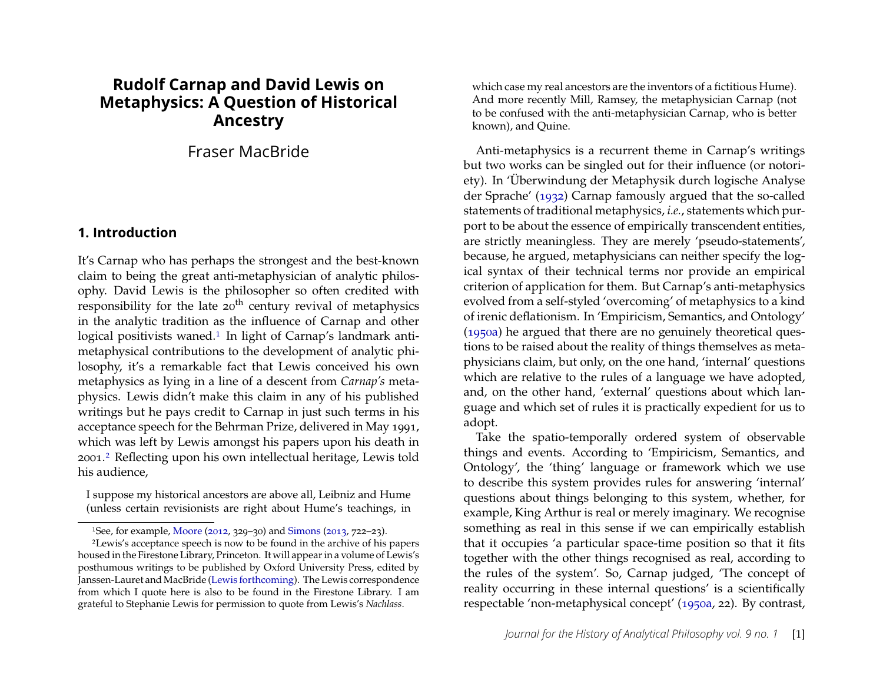# **Rudolf Carnap and David Lewis on Metaphysics: A Question of Historical Ancestry**

# Fraser MacBride

#### **1. Introduction**

It's Carnap who has perhaps the strongest and the best-known claim to being the great anti-metaphysician of analytic philosophy. David Lewis is the philosopher so often credited with responsibility for the late  $20<sup>th</sup>$  century revival of metaphysics in the analytic tradition as the influence of Carnap and other logical positivists waned.<sup>[1](#page-1-0)</sup> In light of Carnap's landmark antimetaphysical contributions to the development of analytic philosophy, it's a remarkable fact that Lewis conceived his own metaphysics as lying in a line of a descent from *Carnap's* metaphysics. Lewis didn't make this claim in any of his published writings but he pays credit to Carnap in just such terms in his acceptance speech for the Behrman Prize, delivered in May 1991, which was left by Lewis amongst his papers upon his death in 2001.[2](#page-1-1) Reflecting upon his own intellectual heritage, Lewis told his audience,

I suppose my historical ancestors are above all, Leibniz and Hume (unless certain revisionists are right about Hume's teachings, in

<span id="page-1-1"></span><span id="page-1-0"></span>1See, for example, [Moore](#page-31-0) [\(2012,](#page-31-0) 329–30) and [Simons](#page-31-1) [\(2013,](#page-31-1) 722–23).

which case my real ancestors are the inventors of a fictitious Hume). And more recently Mill, Ramsey, the metaphysician Carnap (not to be confused with the anti-metaphysician Carnap, who is better known), and Quine.

Anti-metaphysics is a recurrent theme in Carnap's writings but two works can be singled out for their influence (or notoriety). In 'Überwindung der Metaphysik durch logische Analyse der Sprache' [\(1932\)](#page-28-0) Carnap famously argued that the so-called statements of traditional metaphysics, *i.e.*, statements which purport to be about the essence of empirically transcendent entities, are strictly meaningless. They are merely 'pseudo-statements', because, he argued, metaphysicians can neither specify the logical syntax of their technical terms nor provide an empirical criterion of application for them. But Carnap's anti-metaphysics evolved from a self-styled 'overcoming' of metaphysics to a kind of irenic deflationism. In 'Empiricism, Semantics, and Ontology' [\(1950a\)](#page-28-1) he argued that there are no genuinely theoretical questions to be raised about the reality of things themselves as metaphysicians claim, but only, on the one hand, 'internal' questions which are relative to the rules of a language we have adopted, and, on the other hand, 'external' questions about which language and which set of rules it is practically expedient for us to adopt.

Take the spatio-temporally ordered system of observable things and events. According to 'Empiricism, Semantics, and Ontology', the 'thing' language or framework which we use to describe this system provides rules for answering 'internal' questions about things belonging to this system, whether, for example, King Arthur is real or merely imaginary. We recognise something as real in this sense if we can empirically establish that it occupies 'a particular space-time position so that it fits together with the other things recognised as real, according to the rules of the system'. So, Carnap judged, 'The concept of reality occurring in these internal questions' is a scientifically respectable 'non-metaphysical concept' [\(1950a,](#page-28-1) 22). By contrast,

<sup>2</sup>Lewis's acceptance speech is now to be found in the archive of his papers housed in the Firestone Library, Princeton. It will appear in a volume of Lewis's posthumous writings to be published by Oxford University Press, edited by Janssen-Lauret and MacBride [\(Lewis forthcoming\)](#page-30-0). The Lewis correspondence from which I quote here is also to be found in the Firestone Library. I am grateful to Stephanie Lewis for permission to quote from Lewis's *Nachlass*.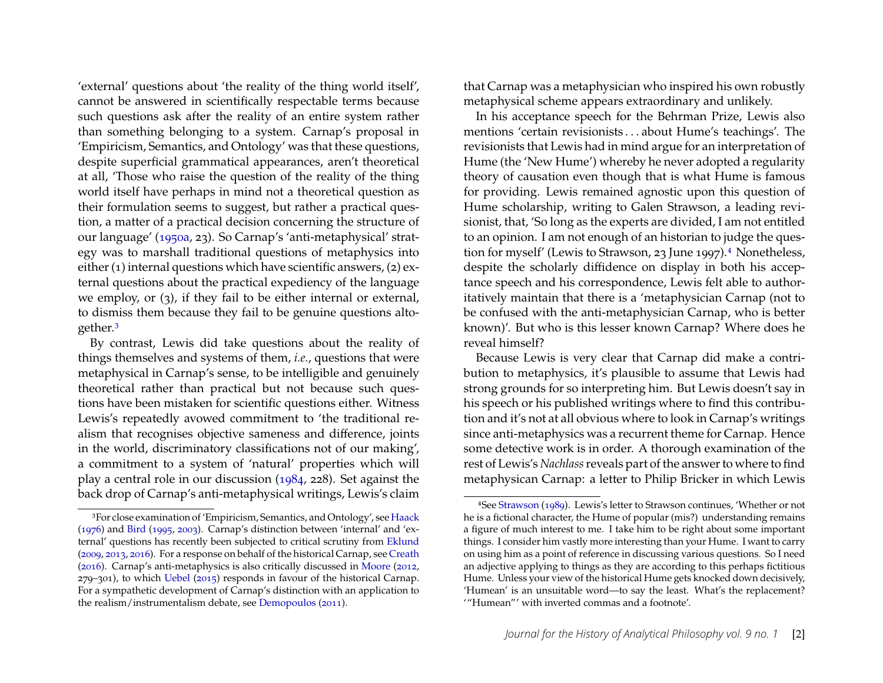'external' questions about 'the reality of the thing world itself', cannot be answered in scientifically respectable terms because such questions ask after the reality of an entire system rather than something belonging to a system. Carnap's proposal in 'Empiricism, Semantics, and Ontology' was that these questions, despite superficial grammatical appearances, aren't theoretical at all, 'Those who raise the question of the reality of the thing world itself have perhaps in mind not a theoretical question as their formulation seems to suggest, but rather a practical question, a matter of a practical decision concerning the structure of our language' [\(1950a,](#page-28-1) 23). So Carnap's 'anti-metaphysical' strategy was to marshall traditional questions of metaphysics into either (1) internal questions which have scientific answers, (2) external questions about the practical expediency of the language we employ, or (3), if they fail to be either internal or external, to dismiss them because they fail to be genuine questions altogether.[3](#page-2-0)

By contrast, Lewis did take questions about the reality of things themselves and systems of them, *i.e.*, questions that were metaphysical in Carnap's sense, to be intelligible and genuinely theoretical rather than practical but not because such questions have been mistaken for scientific questions either. Witness Lewis's repeatedly avowed commitment to 'the traditional realism that recognises objective sameness and difference, joints in the world, discriminatory classifications not of our making', a commitment to a system of 'natural' properties which will play a central role in our discussion [\(1984,](#page-30-1) 228). Set against the back drop of Carnap's anti-metaphysical writings, Lewis's claim that Carnap was a metaphysician who inspired his own robustly metaphysical scheme appears extraordinary and unlikely.

In his acceptance speech for the Behrman Prize, Lewis also mentions 'certain revisionists . . . about Hume's teachings'. The revisionists that Lewis had in mind argue for an interpretation of Hume (the 'New Hume') whereby he never adopted a regularity theory of causation even though that is what Hume is famous for providing. Lewis remained agnostic upon this question of Hume scholarship, writing to Galen Strawson, a leading revisionist, that, 'So long as the experts are divided, I am not entitled to an opinion. I am not enough of an historian to judge the ques-tion for myself' (Lewis to Strawson, 23 June 1997).<sup>[4](#page-2-1)</sup> Nonetheless, despite the scholarly diffidence on display in both his acceptance speech and his correspondence, Lewis felt able to authoritatively maintain that there is a 'metaphysician Carnap (not to be confused with the anti-metaphysician Carnap, who is better known)'. But who is this lesser known Carnap? Where does he reveal himself?

Because Lewis is very clear that Carnap did make a contribution to metaphysics, it's plausible to assume that Lewis had strong grounds for so interpreting him. But Lewis doesn't say in his speech or his published writings where to find this contribution and it's not at all obvious where to look in Carnap's writings since anti-metaphysics was a recurrent theme for Carnap. Hence some detective work is in order. A thorough examination of the rest of Lewis's *Nachlass*reveals part of the answer to where to find metaphysican Carnap: a letter to Philip Bricker in which Lewis

<span id="page-2-0"></span><sup>3</sup>For close examination of 'Empiricism, Semantics, and Ontology', see [Haack](#page-30-2) [\(1976\)](#page-30-2) and [Bird](#page-28-2) [\(1995,](#page-28-2) [2003\)](#page-28-3). Carnap's distinction between 'internal' and 'external' questions has recently been subjected to critical scrutiny from [Eklund](#page-29-0) [\(2009,](#page-29-0) [2013,](#page-29-1) [2016\)](#page-29-2). For a response on behalf of the historical Carnap, see [Creath](#page-29-3) [\(2016\)](#page-29-3). Carnap's anti-metaphysics is also critically discussed in [Moore](#page-31-0) [\(2012,](#page-31-0) 279–301), to which [Uebel](#page-31-2) [\(2015\)](#page-31-2) responds in favour of the historical Carnap. For a sympathetic development of Carnap's distinction with an application to the realism/instrumentalism debate, see [Demopoulos](#page-29-4) [\(2011\)](#page-29-4).

<span id="page-2-1"></span><sup>4</sup>See [Strawson](#page-31-3) [\(1989\)](#page-31-3). Lewis's letter to Strawson continues, 'Whether or not he is a fictional character, the Hume of popular (mis?) understanding remains a figure of much interest to me. I take him to be right about some important things. I consider him vastly more interesting than your Hume. I want to carry on using him as a point of reference in discussing various questions. So I need an adjective applying to things as they are according to this perhaps fictitious Hume. Unless your view of the historical Hume gets knocked down decisively, 'Humean' is an unsuitable word—to say the least. What's the replacement? '"Humean"' with inverted commas and a footnote'.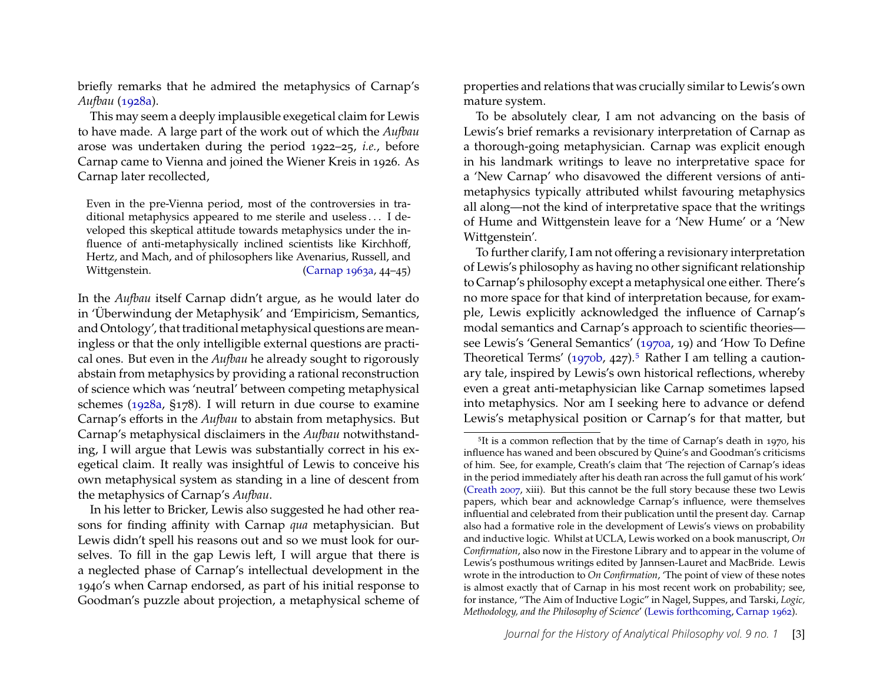briefly remarks that he admired the metaphysics of Carnap's *Aufbau* [\(1928a\)](#page-28-4).

This may seem a deeply implausible exegetical claim for Lewis to have made. A large part of the work out of which the *Aufbau* arose was undertaken during the period 1922–25, *i.e.*, before Carnap came to Vienna and joined the Wiener Kreis in 1926. As Carnap later recollected,

Even in the pre-Vienna period, most of the controversies in traditional metaphysics appeared to me sterile and useless . . . I developed this skeptical attitude towards metaphysics under the influence of anti-metaphysically inclined scientists like Kirchhoff, Hertz, and Mach, and of philosophers like Avenarius, Russell, and Wittgenstein. [\(Carnap 1963a,](#page-28-5) 44–45)

In the *Aufbau* itself Carnap didn't argue, as he would later do in 'Überwindung der Metaphysik' and 'Empiricism, Semantics, and Ontology', that traditional metaphysical questions are meaningless or that the only intelligible external questions are practical ones. But even in the *Aufbau* he already sought to rigorously abstain from metaphysics by providing a rational reconstruction of science which was 'neutral' between competing metaphysical schemes [\(1928a,](#page-28-4) §178). I will return in due course to examine Carnap's efforts in the *Aufbau* to abstain from metaphysics. But Carnap's metaphysical disclaimers in the *Aufbau* notwithstanding, I will argue that Lewis was substantially correct in his exegetical claim. It really was insightful of Lewis to conceive his own metaphysical system as standing in a line of descent from the metaphysics of Carnap's *Aufbau*.

In his letter to Bricker, Lewis also suggested he had other reasons for finding affinity with Carnap *qua* metaphysician. But Lewis didn't spell his reasons out and so we must look for ourselves. To fill in the gap Lewis left, I will argue that there is a neglected phase of Carnap's intellectual development in the 1940's when Carnap endorsed, as part of his initial response to Goodman's puzzle about projection, a metaphysical scheme of properties and relations that was crucially similar to Lewis's own mature system.

To be absolutely clear, I am not advancing on the basis of Lewis's brief remarks a revisionary interpretation of Carnap as a thorough-going metaphysician. Carnap was explicit enough in his landmark writings to leave no interpretative space for a 'New Carnap' who disavowed the different versions of antimetaphysics typically attributed whilst favouring metaphysics all along—not the kind of interpretative space that the writings of Hume and Wittgenstein leave for a 'New Hume' or a 'New Wittgenstein'.

To further clarify, I am not offering a revisionary interpretation of Lewis's philosophy as having no other significant relationship to Carnap's philosophy except a metaphysical one either. There's no more space for that kind of interpretation because, for example, Lewis explicitly acknowledged the influence of Carnap's modal semantics and Carnap's approach to scientific theories see Lewis's 'General Semantics' [\(1970a,](#page-30-3) 19) and 'How To Define Theoretical Terms' [\(1970b,](#page-30-4) 427).<sup>[5](#page-3-0)</sup> Rather I am telling a cautionary tale, inspired by Lewis's own historical reflections, whereby even a great anti-metaphysician like Carnap sometimes lapsed into metaphysics. Nor am I seeking here to advance or defend Lewis's metaphysical position or Carnap's for that matter, but

<span id="page-3-0"></span><sup>&</sup>lt;sup>5</sup>It is a common reflection that by the time of Carnap's death in 1970, his influence has waned and been obscured by Quine's and Goodman's criticisms of him. See, for example, Creath's claim that 'The rejection of Carnap's ideas in the period immediately after his death ran across the full gamut of his work' [\(Creath 2007,](#page-29-5) xiii). But this cannot be the full story because these two Lewis papers, which bear and acknowledge Carnap's influence, were themselves influential and celebrated from their publication until the present day. Carnap also had a formative role in the development of Lewis's views on probability and inductive logic. Whilst at UCLA, Lewis worked on a book manuscript, *On Confirmation*, also now in the Firestone Library and to appear in the volume of Lewis's posthumous writings edited by Jannsen-Lauret and MacBride. Lewis wrote in the introduction to *On Confirmation*, 'The point of view of these notes is almost exactly that of Carnap in his most recent work on probability; see, for instance, "The Aim of Inductive Logic" in Nagel, Suppes, and Tarski, *Logic, Methodology, and the Philosophy of Science*' [\(Lewis forthcoming,](#page-30-0) [Carnap 1962\)](#page-28-6).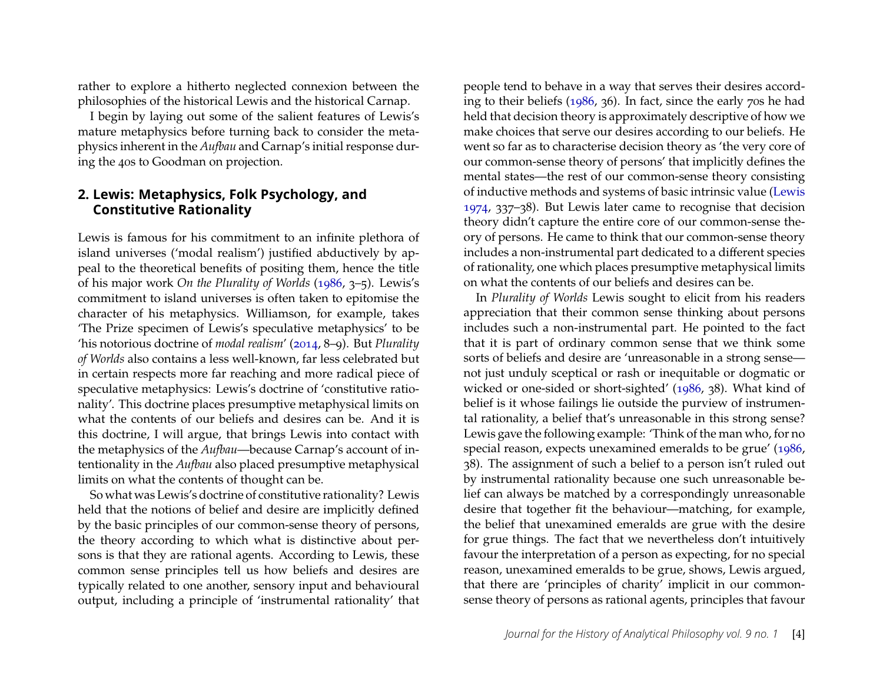rather to explore a hitherto neglected connexion between the philosophies of the historical Lewis and the historical Carnap.

I begin by laying out some of the salient features of Lewis's mature metaphysics before turning back to consider the metaphysics inherent in the *Aufbau* and Carnap's initial response during the 40s to Goodman on projection.

### **2. Lewis: Metaphysics, Folk Psychology, and Constitutive Rationality**

Lewis is famous for his commitment to an infinite plethora of island universes ('modal realism') justified abductively by appeal to the theoretical benefits of positing them, hence the title of his major work *On the Plurality of Worlds* [\(1986,](#page-30-5) 3–5). Lewis's commitment to island universes is often taken to epitomise the character of his metaphysics. Williamson, for example, takes 'The Prize specimen of Lewis's speculative metaphysics' to be 'his notorious doctrine of *modal realism*' [\(2014,](#page-31-4) 8–9). But *Plurality of Worlds* also contains a less well-known, far less celebrated but in certain respects more far reaching and more radical piece of speculative metaphysics: Lewis's doctrine of 'constitutive rationality'. This doctrine places presumptive metaphysical limits on what the contents of our beliefs and desires can be. And it is this doctrine, I will argue, that brings Lewis into contact with the metaphysics of the *Aufbau*—because Carnap's account of intentionality in the *Aufbau* also placed presumptive metaphysical limits on what the contents of thought can be.

So what was Lewis's doctrine of constitutive rationality? Lewis held that the notions of belief and desire are implicitly defined by the basic principles of our common-sense theory of persons, the theory according to which what is distinctive about persons is that they are rational agents. According to Lewis, these common sense principles tell us how beliefs and desires are typically related to one another, sensory input and behavioural output, including a principle of 'instrumental rationality' that

people tend to behave in a way that serves their desires according to their beliefs [\(1986,](#page-30-5) 36). In fact, since the early 70s he had held that decision theory is approximately descriptive of how we make choices that serve our desires according to our beliefs. He went so far as to characterise decision theory as 'the very core of our common-sense theory of persons' that implicitly defines the mental states—the rest of our common-sense theory consisting of inductive methods and systems of basic intrinsic value [\(Lewis](#page-30-6) [1974,](#page-30-6) 337–38). But Lewis later came to recognise that decision theory didn't capture the entire core of our common-sense theory of persons. He came to think that our common-sense theory includes a non-instrumental part dedicated to a different species of rationality, one which places presumptive metaphysical limits on what the contents of our beliefs and desires can be.

In *Plurality of Worlds* Lewis sought to elicit from his readers appreciation that their common sense thinking about persons includes such a non-instrumental part. He pointed to the fact that it is part of ordinary common sense that we think some sorts of beliefs and desire are 'unreasonable in a strong sense not just unduly sceptical or rash or inequitable or dogmatic or wicked or one-sided or short-sighted' [\(1986,](#page-30-5) 38). What kind of belief is it whose failings lie outside the purview of instrumental rationality, a belief that's unreasonable in this strong sense? Lewis gave the following example: 'Think of the man who, for no special reason, expects unexamined emeralds to be grue' [\(1986,](#page-30-5) 38). The assignment of such a belief to a person isn't ruled out by instrumental rationality because one such unreasonable belief can always be matched by a correspondingly unreasonable desire that together fit the behaviour—matching, for example, the belief that unexamined emeralds are grue with the desire for grue things. The fact that we nevertheless don't intuitively favour the interpretation of a person as expecting, for no special reason, unexamined emeralds to be grue, shows, Lewis argued, that there are 'principles of charity' implicit in our commonsense theory of persons as rational agents, principles that favour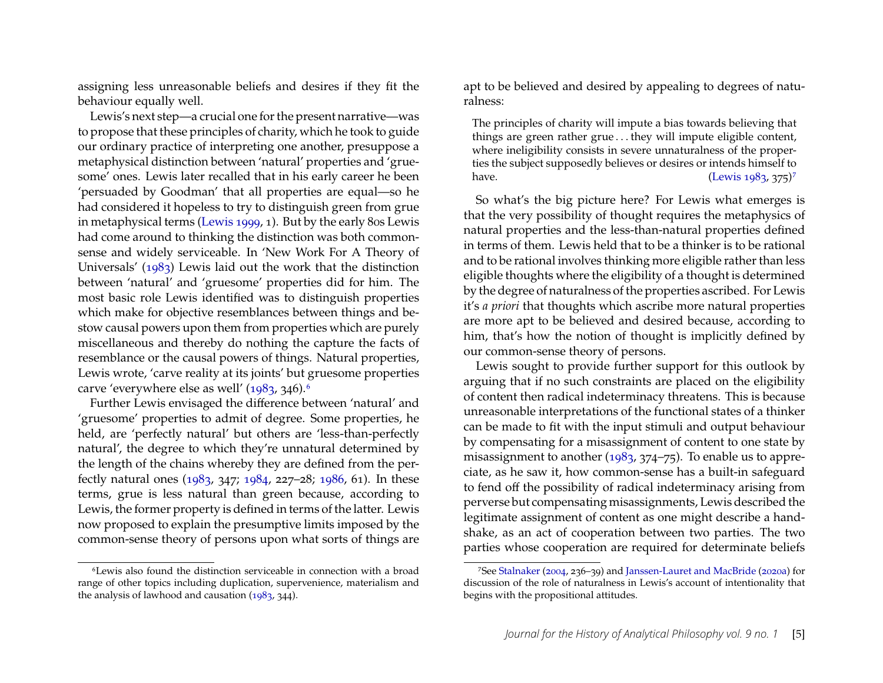assigning less unreasonable beliefs and desires if they fit the behaviour equally well.

Lewis's next step—a crucial one for the present narrative—was to propose that these principles of charity, which he took to guide our ordinary practice of interpreting one another, presuppose a metaphysical distinction between 'natural' properties and 'gruesome' ones. Lewis later recalled that in his early career he been 'persuaded by Goodman' that all properties are equal—so he had considered it hopeless to try to distinguish green from grue in metaphysical terms [\(Lewis 1999,](#page-30-7) 1). But by the early 80s Lewis had come around to thinking the distinction was both commonsense and widely serviceable. In 'New Work For A Theory of Universals' [\(1983\)](#page-30-8) Lewis laid out the work that the distinction between 'natural' and 'gruesome' properties did for him. The most basic role Lewis identified was to distinguish properties which make for objective resemblances between things and bestow causal powers upon them from properties which are purely miscellaneous and thereby do nothing the capture the facts of resemblance or the causal powers of things. Natural properties, Lewis wrote, 'carve reality at its joints' but gruesome properties carve 'everywhere else as well' [\(1983,](#page-30-8) 34[6](#page-5-0)).<sup>6</sup>

Further Lewis envisaged the difference between 'natural' and 'gruesome' properties to admit of degree. Some properties, he held, are 'perfectly natural' but others are 'less-than-perfectly natural', the degree to which they're unnatural determined by the length of the chains whereby they are defined from the perfectly natural ones [\(1983,](#page-30-8) 347; [1984,](#page-30-1) 227–28; [1986,](#page-30-5) 61). In these terms, grue is less natural than green because, according to Lewis, the former property is defined in terms of the latter. Lewis now proposed to explain the presumptive limits imposed by the common-sense theory of persons upon what sorts of things are

<span id="page-5-0"></span>6Lewis also found the distinction serviceable in connection with a broad range of other topics including duplication, supervenience, materialism and the analysis of lawhood and causation [\(1983,](#page-30-8) 344).

apt to be believed and desired by appealing to degrees of naturalness:

The principles of charity will impute a bias towards believing that things are green rather grue . . . they will impute eligible content, where ineligibility consists in severe unnaturalness of the properties the subject supposedly believes or desires or intends himself to have. [\(Lewis 1983,](#page-30-8) 3[7](#page-5-1)5)<sup>7</sup>

So what's the big picture here? For Lewis what emerges is that the very possibility of thought requires the metaphysics of natural properties and the less-than-natural properties defined in terms of them. Lewis held that to be a thinker is to be rational and to be rational involves thinking more eligible rather than less eligible thoughts where the eligibility of a thought is determined by the degree of naturalness of the properties ascribed. For Lewis it's *a priori* that thoughts which ascribe more natural properties are more apt to be believed and desired because, according to him, that's how the notion of thought is implicitly defined by our common-sense theory of persons.

Lewis sought to provide further support for this outlook by arguing that if no such constraints are placed on the eligibility of content then radical indeterminacy threatens. This is because unreasonable interpretations of the functional states of a thinker can be made to fit with the input stimuli and output behaviour by compensating for a misassignment of content to one state by misassignment to another [\(1983,](#page-30-8) 374–75). To enable us to appreciate, as he saw it, how common-sense has a built-in safeguard to fend off the possibility of radical indeterminacy arising from perverse but compensating misassignments, Lewis described the legitimate assignment of content as one might describe a handshake, as an act of cooperation between two parties. The two parties whose cooperation are required for determinate beliefs

<span id="page-5-1"></span><sup>7</sup>See [Stalnaker](#page-31-5) [\(2004,](#page-31-5) 236–39) and [Janssen-Lauret and MacBride](#page-30-9) [\(2020a\)](#page-30-9) for discussion of the role of naturalness in Lewis's account of intentionality that begins with the propositional attitudes.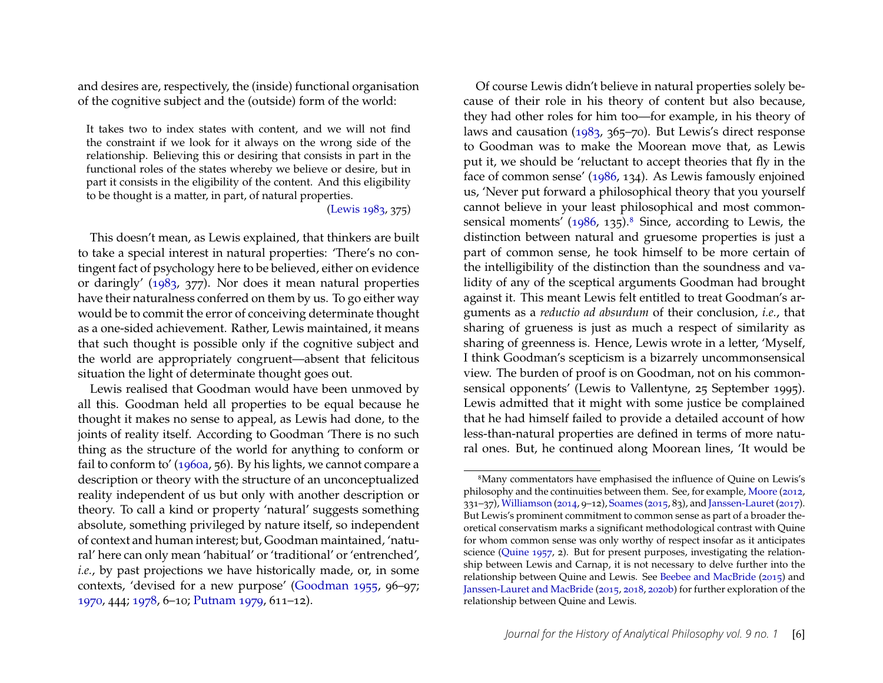and desires are, respectively, the (inside) functional organisation of the cognitive subject and the (outside) form of the world:

It takes two to index states with content, and we will not find the constraint if we look for it always on the wrong side of the relationship. Believing this or desiring that consists in part in the functional roles of the states whereby we believe or desire, but in part it consists in the eligibility of the content. And this eligibility to be thought is a matter, in part, of natural properties.

[\(Lewis 1983,](#page-30-8) 375)

This doesn't mean, as Lewis explained, that thinkers are built to take a special interest in natural properties: 'There's no contingent fact of psychology here to be believed, either on evidence or daringly' [\(1983,](#page-30-8) 377). Nor does it mean natural properties have their naturalness conferred on them by us. To go either way would be to commit the error of conceiving determinate thought as a one-sided achievement. Rather, Lewis maintained, it means that such thought is possible only if the cognitive subject and the world are appropriately congruent—absent that felicitous situation the light of determinate thought goes out.

Lewis realised that Goodman would have been unmoved by all this. Goodman held all properties to be equal because he thought it makes no sense to appeal, as Lewis had done, to the joints of reality itself. According to Goodman 'There is no such thing as the structure of the world for anything to conform or fail to conform to' [\(1960a,](#page-29-6) 56). By his lights, we cannot compare a description or theory with the structure of an unconceptualized reality independent of us but only with another description or theory. To call a kind or property 'natural' suggests something absolute, something privileged by nature itself, so independent of context and human interest; but, Goodman maintained, 'natural' here can only mean 'habitual' or 'traditional' or 'entrenched', *i.e.*, by past projections we have historically made, or, in some contexts, 'devised for a new purpose' [\(Goodman 1955,](#page-29-7) 96–97; [1970,](#page-29-8) 444; [1978,](#page-30-10) 6–10; [Putnam 1979,](#page-31-6) 611–12).

Of course Lewis didn't believe in natural properties solely because of their role in his theory of content but also because, they had other roles for him too—for example, in his theory of laws and causation [\(1983,](#page-30-8) 365–70). But Lewis's direct response to Goodman was to make the Moorean move that, as Lewis put it, we should be 'reluctant to accept theories that fly in the face of common sense' [\(1986,](#page-30-5) 134). As Lewis famously enjoined us, 'Never put forward a philosophical theory that you yourself cannot believe in your least philosophical and most common-sensical moments' [\(1986,](#page-30-5) 135).<sup>[8](#page-6-0)</sup> Since, according to Lewis, the distinction between natural and gruesome properties is just a part of common sense, he took himself to be more certain of the intelligibility of the distinction than the soundness and validity of any of the sceptical arguments Goodman had brought against it. This meant Lewis felt entitled to treat Goodman's arguments as a *reductio ad absurdum* of their conclusion, *i.e.*, that sharing of grueness is just as much a respect of similarity as sharing of greenness is. Hence, Lewis wrote in a letter, 'Myself, I think Goodman's scepticism is a bizarrely uncommonsensical view. The burden of proof is on Goodman, not on his commonsensical opponents' (Lewis to Vallentyne, 25 September 1995). Lewis admitted that it might with some justice be complained that he had himself failed to provide a detailed account of how less-than-natural properties are defined in terms of more natural ones. But, he continued along Moorean lines, 'It would be

<span id="page-6-0"></span><sup>8</sup>Many commentators have emphasised the influence of Quine on Lewis's philosophy and the continuities between them. See, for example, [Moore](#page-31-0) [\(2012,](#page-31-0) 331–37), [Williamson](#page-31-4) [\(2014,](#page-31-4) 9–12), [Soames](#page-31-7) [\(2015,](#page-31-7) 83), and [Janssen-Lauret](#page-30-11) [\(2017\)](#page-30-11). But Lewis's prominent commitment to common sense as part of a broader theoretical conservatism marks a significant methodological contrast with Quine for whom common sense was only worthy of respect insofar as it anticipates science [\(Quine 1957,](#page-31-8) 2). But for present purposes, investigating the relationship between Lewis and Carnap, it is not necessary to delve further into the relationship between Quine and Lewis. See [Beebee and MacBride](#page-27-0) [\(2015\)](#page-27-0) and [Janssen-Lauret and MacBride](#page-30-12) [\(2015,](#page-30-12) [2018,](#page-30-13) [2020b\)](#page-30-14) for further exploration of the relationship between Quine and Lewis.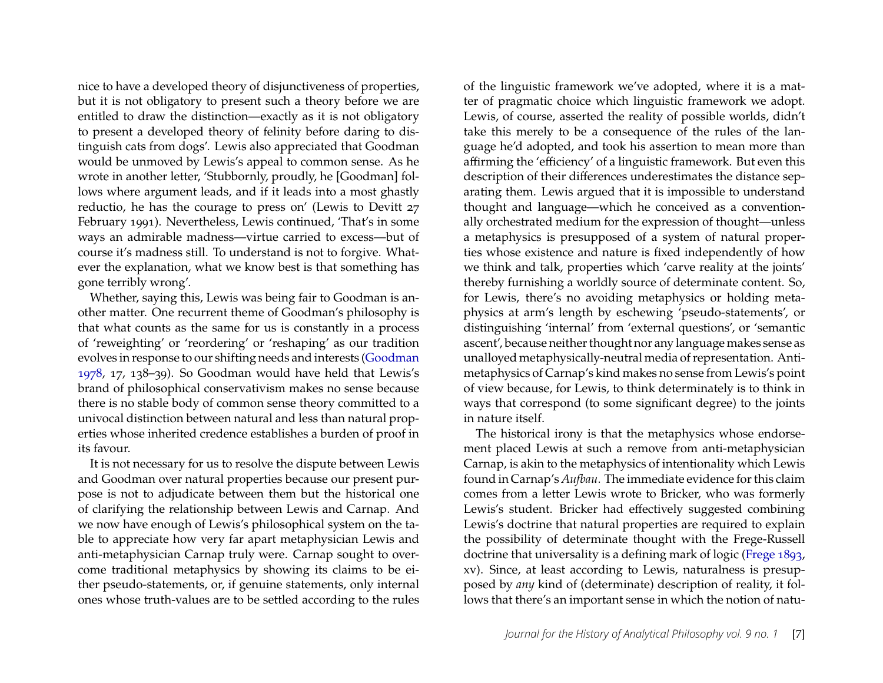nice to have a developed theory of disjunctiveness of properties, but it is not obligatory to present such a theory before we are entitled to draw the distinction—exactly as it is not obligatory to present a developed theory of felinity before daring to distinguish cats from dogs'. Lewis also appreciated that Goodman would be unmoved by Lewis's appeal to common sense. As he wrote in another letter, 'Stubbornly, proudly, he [Goodman] follows where argument leads, and if it leads into a most ghastly reductio, he has the courage to press on' (Lewis to Devitt 27 February 1991). Nevertheless, Lewis continued, 'That's in some ways an admirable madness—virtue carried to excess—but of course it's madness still. To understand is not to forgive. Whatever the explanation, what we know best is that something has gone terribly wrong'.

Whether, saying this, Lewis was being fair to Goodman is another matter. One recurrent theme of Goodman's philosophy is that what counts as the same for us is constantly in a process of 'reweighting' or 'reordering' or 'reshaping' as our tradition evolves in response to our shifting needs and interests [\(Goodman](#page-30-10) [1978,](#page-30-10) 17, 138–39). So Goodman would have held that Lewis's brand of philosophical conservativism makes no sense because there is no stable body of common sense theory committed to a univocal distinction between natural and less than natural properties whose inherited credence establishes a burden of proof in its favour.

It is not necessary for us to resolve the dispute between Lewis and Goodman over natural properties because our present purpose is not to adjudicate between them but the historical one of clarifying the relationship between Lewis and Carnap. And we now have enough of Lewis's philosophical system on the table to appreciate how very far apart metaphysician Lewis and anti-metaphysician Carnap truly were. Carnap sought to overcome traditional metaphysics by showing its claims to be either pseudo-statements, or, if genuine statements, only internal ones whose truth-values are to be settled according to the rules of the linguistic framework we've adopted, where it is a matter of pragmatic choice which linguistic framework we adopt. Lewis, of course, asserted the reality of possible worlds, didn't take this merely to be a consequence of the rules of the language he'd adopted, and took his assertion to mean more than affirming the 'efficiency' of a linguistic framework. But even this description of their differences underestimates the distance separating them. Lewis argued that it is impossible to understand thought and language—which he conceived as a conventionally orchestrated medium for the expression of thought—unless a metaphysics is presupposed of a system of natural properties whose existence and nature is fixed independently of how we think and talk, properties which 'carve reality at the joints' thereby furnishing a worldly source of determinate content. So, for Lewis, there's no avoiding metaphysics or holding metaphysics at arm's length by eschewing 'pseudo-statements', or distinguishing 'internal' from 'external questions', or 'semantic ascent', because neither thought nor any language makes sense as unalloyed metaphysically-neutral media of representation. Antimetaphysics of Carnap's kind makes no sense from Lewis's point of view because, for Lewis, to think determinately is to think in ways that correspond (to some significant degree) to the joints in nature itself.

The historical irony is that the metaphysics whose endorsement placed Lewis at such a remove from anti-metaphysician Carnap, is akin to the metaphysics of intentionality which Lewis found in Carnap's *Aufbau*. The immediate evidence for this claim comes from a letter Lewis wrote to Bricker, who was formerly Lewis's student. Bricker had effectively suggested combining Lewis's doctrine that natural properties are required to explain the possibility of determinate thought with the Frege-Russell doctrine that universality is a defining mark of logic [\(Frege 1893,](#page-29-9) xv). Since, at least according to Lewis, naturalness is presupposed by *any* kind of (determinate) description of reality, it follows that there's an important sense in which the notion of natu-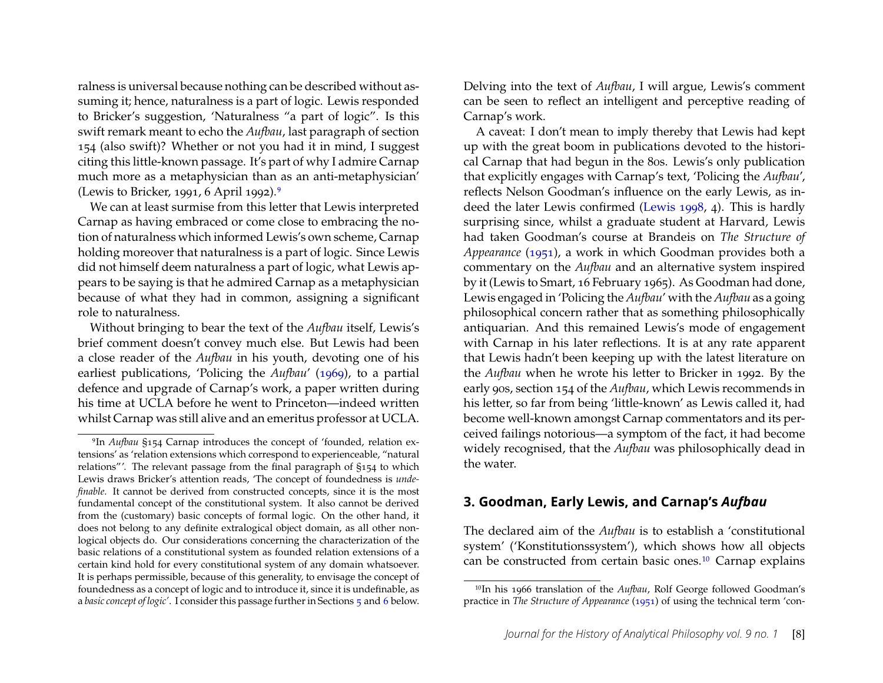ralness is universal because nothing can be described without assuming it; hence, naturalness is a part of logic. Lewis responded to Bricker's suggestion, 'Naturalness "a part of logic". Is this swift remark meant to echo the *Aufbau*, last paragraph of section 154 (also swift)? Whether or not you had it in mind, I suggest citing this little-known passage. It's part of why I admire Carnap much more as a metaphysician than as an anti-metaphysician' (Lewis to Bricker, 1991, 6 April 1992).[9](#page-8-0)

We can at least surmise from this letter that Lewis interpreted Carnap as having embraced or come close to embracing the notion of naturalness which informed Lewis's own scheme, Carnap holding moreover that naturalness is a part of logic. Since Lewis did not himself deem naturalness a part of logic, what Lewis appears to be saying is that he admired Carnap as a metaphysician because of what they had in common, assigning a significant role to naturalness.

Without bringing to bear the text of the *Aufbau* itself, Lewis's brief comment doesn't convey much else. But Lewis had been a close reader of the *Aufbau* in his youth, devoting one of his earliest publications, 'Policing the *Aufbau*' [\(1969\)](#page-30-15), to a partial defence and upgrade of Carnap's work, a paper written during his time at UCLA before he went to Princeton—indeed written whilst Carnap was still alive and an emeritus professor at UCLA.

Delving into the text of *Aufbau*, I will argue, Lewis's comment can be seen to reflect an intelligent and perceptive reading of Carnap's work.

A caveat: I don't mean to imply thereby that Lewis had kept up with the great boom in publications devoted to the historical Carnap that had begun in the 80s. Lewis's only publication that explicitly engages with Carnap's text, 'Policing the *Aufbau*', reflects Nelson Goodman's influence on the early Lewis, as indeed the later Lewis confirmed [\(Lewis 1998,](#page-30-16) 4). This is hardly surprising since, whilst a graduate student at Harvard, Lewis had taken Goodman's course at Brandeis on *The Structure of Appearance* [\(1951\)](#page-29-10), a work in which Goodman provides both a commentary on the *Aufbau* and an alternative system inspired by it (Lewis to Smart, 16 February 1965). As Goodman had done, Lewis engaged in 'Policing the *Aufbau*' with the *Aufbau* as a going philosophical concern rather that as something philosophically antiquarian. And this remained Lewis's mode of engagement with Carnap in his later reflections. It is at any rate apparent that Lewis hadn't been keeping up with the latest literature on the *Aufbau* when he wrote his letter to Bricker in 1992. By the early 90s, section 154 of the *Aufbau*, which Lewis recommends in his letter, so far from being 'little-known' as Lewis called it, had become well-known amongst Carnap commentators and its perceived failings notorious—a symptom of the fact, it had become widely recognised, that the *Aufbau* was philosophically dead in the water.

## **3. Goodman, Early Lewis, and Carnap's** *Aufbau*

The declared aim of the *Aufbau* is to establish a 'constitutional system' ('Konstitutionssystem'), which shows how all objects can be constructed from certain basic ones.[10](#page-8-1) Carnap explains

<span id="page-8-0"></span><sup>9</sup>In *Aufbau* §154 Carnap introduces the concept of 'founded, relation extensions' as 'relation extensions which correspond to experienceable, "natural relations"'. The relevant passage from the final paragraph of §154 to which Lewis draws Bricker's attention reads, 'The concept of foundedness is *undefinable*. It cannot be derived from constructed concepts, since it is the most fundamental concept of the constitutional system. It also cannot be derived from the (customary) basic concepts of formal logic. On the other hand, it does not belong to any definite extralogical object domain, as all other nonlogical objects do. Our considerations concerning the characterization of the basic relations of a constitutional system as founded relation extensions of a certain kind hold for every constitutional system of any domain whatsoever. It is perhaps permissible, because of this generality, to envisage the concept of foundedness as a concept of logic and to introduce it, since it is undefinable, as a *basic concept of logic'*. I consider this passage further in Sections [5](#page-14-0) and [6](#page-16-0) below.

<span id="page-8-1"></span><sup>10</sup>In his 1966 translation of the *Aufbau*, Rolf George followed Goodman's practice in *The Structure of Appearance* [\(1951\)](#page-29-10) of using the technical term 'con-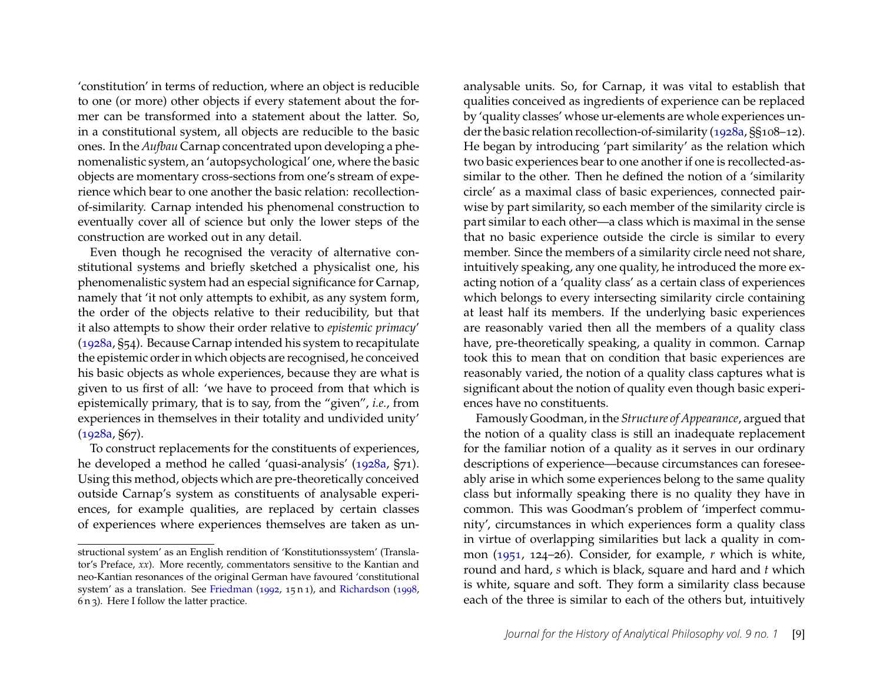'constitution' in terms of reduction, where an object is reducible to one (or more) other objects if every statement about the former can be transformed into a statement about the latter. So, in a constitutional system, all objects are reducible to the basic ones. In the *Aufbau* Carnap concentrated upon developing a phenomenalistic system, an 'autopsychological' one, where the basic objects are momentary cross-sections from one's stream of experience which bear to one another the basic relation: recollectionof-similarity. Carnap intended his phenomenal construction to eventually cover all of science but only the lower steps of the construction are worked out in any detail.

Even though he recognised the veracity of alternative constitutional systems and briefly sketched a physicalist one, his phenomenalistic system had an especial significance for Carnap, namely that 'it not only attempts to exhibit, as any system form, the order of the objects relative to their reducibility, but that it also attempts to show their order relative to *epistemic primacy*' [\(1928a,](#page-28-4) §54). Because Carnap intended his system to recapitulate the epistemic order in which objects are recognised, he conceived his basic objects as whole experiences, because they are what is given to us first of all: 'we have to proceed from that which is epistemically primary, that is to say, from the "given", *i.e.*, from experiences in themselves in their totality and undivided unity' [\(1928a,](#page-28-4) §67).

To construct replacements for the constituents of experiences, he developed a method he called 'quasi-analysis' [\(1928a,](#page-28-4) §71). Using this method, objects which are pre-theoretically conceived outside Carnap's system as constituents of analysable experiences, for example qualities, are replaced by certain classes of experiences where experiences themselves are taken as un-

analysable units. So, for Carnap, it was vital to establish that qualities conceived as ingredients of experience can be replaced by 'quality classes' whose ur-elements are whole experiences under the basic relation recollection-of-similarity [\(1928a,](#page-28-4) §§108–12). He began by introducing 'part similarity' as the relation which two basic experiences bear to one another if one is recollected-assimilar to the other. Then he defined the notion of a 'similarity circle' as a maximal class of basic experiences, connected pairwise by part similarity, so each member of the similarity circle is part similar to each other—a class which is maximal in the sense that no basic experience outside the circle is similar to every member. Since the members of a similarity circle need not share, intuitively speaking, any one quality, he introduced the more exacting notion of a 'quality class' as a certain class of experiences which belongs to every intersecting similarity circle containing at least half its members. If the underlying basic experiences are reasonably varied then all the members of a quality class have, pre-theoretically speaking, a quality in common. Carnap took this to mean that on condition that basic experiences are reasonably varied, the notion of a quality class captures what is significant about the notion of quality even though basic experiences have no constituents.

Famously Goodman, in the *Structure of Appearance*, argued that the notion of a quality class is still an inadequate replacement for the familiar notion of a quality as it serves in our ordinary descriptions of experience—because circumstances can foreseeably arise in which some experiences belong to the same quality class but informally speaking there is no quality they have in common. This was Goodman's problem of 'imperfect community', circumstances in which experiences form a quality class in virtue of overlapping similarities but lack a quality in common [\(1951,](#page-29-10) 124–26). Consider, for example, *r* which is white, round and hard, *s* which is black, square and hard and *t* which is white, square and soft. They form a similarity class because each of the three is similar to each of the others but, intuitively

structional system' as an English rendition of 'Konstitutionssystem' (Translator's Preface, *xx*). More recently, commentators sensitive to the Kantian and neo-Kantian resonances of the original German have favoured 'constitutional system' as a translation. See [Friedman](#page-29-11) [\(1992,](#page-29-11) 15 n 1), and [Richardson](#page-31-9) [\(1998,](#page-31-9) 6 n 3). Here I follow the latter practice.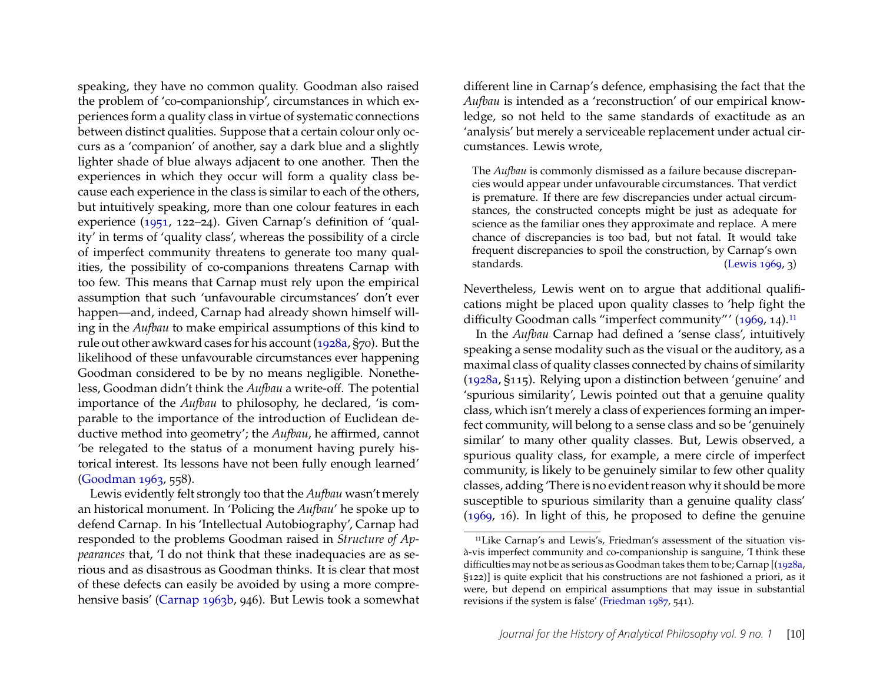speaking, they have no common quality. Goodman also raised the problem of 'co-companionship', circumstances in which experiences form a quality class in virtue of systematic connections between distinct qualities. Suppose that a certain colour only occurs as a 'companion' of another, say a dark blue and a slightly lighter shade of blue always adjacent to one another. Then the experiences in which they occur will form a quality class because each experience in the class is similar to each of the others, but intuitively speaking, more than one colour features in each experience [\(1951,](#page-29-10) 122–24). Given Carnap's definition of 'quality' in terms of 'quality class', whereas the possibility of a circle of imperfect community threatens to generate too many qualities, the possibility of co-companions threatens Carnap with too few. This means that Carnap must rely upon the empirical assumption that such 'unfavourable circumstances' don't ever happen—and, indeed, Carnap had already shown himself willing in the *Aufbau* to make empirical assumptions of this kind to rule out other awkward cases for his account [\(1928a,](#page-28-4) §70). But the likelihood of these unfavourable circumstances ever happening Goodman considered to be by no means negligible. Nonetheless, Goodman didn't think the *Aufbau* a write-off. The potential importance of the *Aufbau* to philosophy, he declared, 'is comparable to the importance of the introduction of Euclidean deductive method into geometry'; the *Aufbau*, he affirmed, cannot 'be relegated to the status of a monument having purely historical interest. Its lessons have not been fully enough learned' [\(Goodman 1963,](#page-29-12) 558).

Lewis evidently felt strongly too that the *Aufbau* wasn't merely an historical monument. In 'Policing the *Aufbau*' he spoke up to defend Carnap. In his 'Intellectual Autobiography', Carnap had responded to the problems Goodman raised in *Structure of Appearances* that, 'I do not think that these inadequacies are as serious and as disastrous as Goodman thinks. It is clear that most of these defects can easily be avoided by using a more comprehensive basis' [\(Carnap 1963b,](#page-28-7) 946). But Lewis took a somewhat

different line in Carnap's defence, emphasising the fact that the *Aufbau* is intended as a 'reconstruction' of our empirical knowledge, so not held to the same standards of exactitude as an 'analysis' but merely a serviceable replacement under actual circumstances. Lewis wrote,

The *Aufbau* is commonly dismissed as a failure because discrepancies would appear under unfavourable circumstances. That verdict is premature. If there are few discrepancies under actual circumstances, the constructed concepts might be just as adequate for science as the familiar ones they approximate and replace. A mere chance of discrepancies is too bad, but not fatal. It would take frequent discrepancies to spoil the construction, by Carnap's own standards. [\(Lewis 1969,](#page-30-15) 3)

Nevertheless, Lewis went on to argue that additional qualifications might be placed upon quality classes to 'help fight the difficulty Goodman calls "imperfect community"' [\(1969,](#page-30-15) 14).<sup>[11](#page-10-0)</sup>

In the *Aufbau* Carnap had defined a 'sense class', intuitively speaking a sense modality such as the visual or the auditory, as a maximal class of quality classes connected by chains of similarity [\(1928a,](#page-28-4) §115). Relying upon a distinction between 'genuine' and 'spurious similarity', Lewis pointed out that a genuine quality class, which isn't merely a class of experiences forming an imperfect community, will belong to a sense class and so be 'genuinely similar' to many other quality classes. But, Lewis observed, a spurious quality class, for example, a mere circle of imperfect community, is likely to be genuinely similar to few other quality classes, adding 'There is no evident reason why it should be more susceptible to spurious similarity than a genuine quality class' [\(1969,](#page-30-15) 16). In light of this, he proposed to define the genuine

<span id="page-10-0"></span><sup>11</sup>Like Carnap's and Lewis's, Friedman's assessment of the situation visà-vis imperfect community and co-companionship is sanguine, 'I think these difficulties may not be as serious as Goodman takes them to be; Carnap [[\(1928a,](#page-28-4) §122)] is quite explicit that his constructions are not fashioned a priori, as it were, but depend on empirical assumptions that may issue in substantial revisions if the system is false' [\(Friedman 1987,](#page-29-13) 541).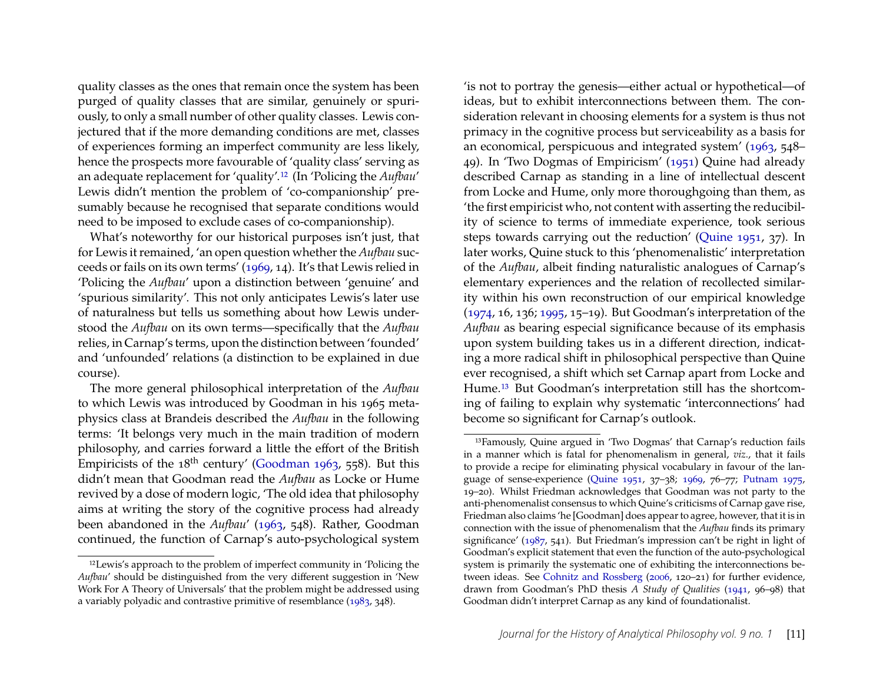quality classes as the ones that remain once the system has been purged of quality classes that are similar, genuinely or spuriously, to only a small number of other quality classes. Lewis conjectured that if the more demanding conditions are met, classes of experiences forming an imperfect community are less likely, hence the prospects more favourable of 'quality class' serving as an adequate replacement for 'quality'.[12](#page-11-0) (In 'Policing the *Aufbau*' Lewis didn't mention the problem of 'co-companionship' presumably because he recognised that separate conditions would need to be imposed to exclude cases of co-companionship).

What's noteworthy for our historical purposes isn't just, that for Lewis it remained, 'an open question whether the *Aufbau* succeeds or fails on its own terms' [\(1969,](#page-30-15) 14). It's that Lewis relied in 'Policing the *Aufbau*' upon a distinction between 'genuine' and 'spurious similarity'. This not only anticipates Lewis's later use of naturalness but tells us something about how Lewis understood the *Aufbau* on its own terms—specifically that the *Aufbau* relies, in Carnap's terms, upon the distinction between 'founded' and 'unfounded' relations (a distinction to be explained in due course).

The more general philosophical interpretation of the *Aufbau* to which Lewis was introduced by Goodman in his 1965 metaphysics class at Brandeis described the *Aufbau* in the following terms: 'It belongs very much in the main tradition of modern philosophy, and carries forward a little the effort of the British Empiricists of the  $18<sup>th</sup>$  century' [\(Goodman 1963,](#page-29-12) 558). But this didn't mean that Goodman read the *Aufbau* as Locke or Hume revived by a dose of modern logic, 'The old idea that philosophy aims at writing the story of the cognitive process had already been abandoned in the *Aufbau*' [\(1963,](#page-29-12) 548). Rather, Goodman continued, the function of Carnap's auto-psychological system

'is not to portray the genesis—either actual or hypothetical—of ideas, but to exhibit interconnections between them. The consideration relevant in choosing elements for a system is thus not primacy in the cognitive process but serviceability as a basis for an economical, perspicuous and integrated system' [\(1963,](#page-29-12) 548– 49). In 'Two Dogmas of Empiricism' [\(1951\)](#page-31-10) Quine had already described Carnap as standing in a line of intellectual descent from Locke and Hume, only more thoroughgoing than them, as 'the first empiricist who, not content with asserting the reducibility of science to terms of immediate experience, took serious steps towards carrying out the reduction' [\(Quine 1951,](#page-31-10) 37). In later works, Quine stuck to this 'phenomenalistic' interpretation of the *Aufbau*, albeit finding naturalistic analogues of Carnap's elementary experiences and the relation of recollected similarity within his own reconstruction of our empirical knowledge [\(1974,](#page-31-11) 16, 136; [1995,](#page-31-12) 15–19). But Goodman's interpretation of the *Aufbau* as bearing especial significance because of its emphasis upon system building takes us in a different direction, indicating a more radical shift in philosophical perspective than Quine ever recognised, a shift which set Carnap apart from Locke and Hume.[13](#page-11-1) But Goodman's interpretation still has the shortcoming of failing to explain why systematic 'interconnections' had become so significant for Carnap's outlook.

<span id="page-11-0"></span><sup>12</sup>Lewis's approach to the problem of imperfect community in 'Policing the *Aufbau*' should be distinguished from the very different suggestion in 'New Work For A Theory of Universals' that the problem might be addressed using a variably polyadic and contrastive primitive of resemblance [\(1983,](#page-30-8) 348).

<span id="page-11-1"></span><sup>13</sup>Famously, Quine argued in 'Two Dogmas' that Carnap's reduction fails in a manner which is fatal for phenomenalism in general, *viz*., that it fails to provide a recipe for eliminating physical vocabulary in favour of the language of sense-experience [\(Quine 1951,](#page-31-10) 37–38; [1969,](#page-31-13) 76–77; [Putnam 1975,](#page-31-14) 19–20). Whilst Friedman acknowledges that Goodman was not party to the anti-phenomenalist consensus to which Quine's criticisms of Carnap gave rise, Friedman also claims 'he [Goodman] does appear to agree, however, that it is in connection with the issue of phenomenalism that the *Aufbau* finds its primary significance' [\(1987,](#page-29-13) 541). But Friedman's impression can't be right in light of Goodman's explicit statement that even the function of the auto-psychological system is primarily the systematic one of exhibiting the interconnections between ideas. See [Cohnitz and Rossberg](#page-29-14) [\(2006,](#page-29-14) 120–21) for further evidence, drawn from Goodman's PhD thesis *A Study of Qualities* [\(1941,](#page-29-15) 96–98) that Goodman didn't interpret Carnap as any kind of foundationalist.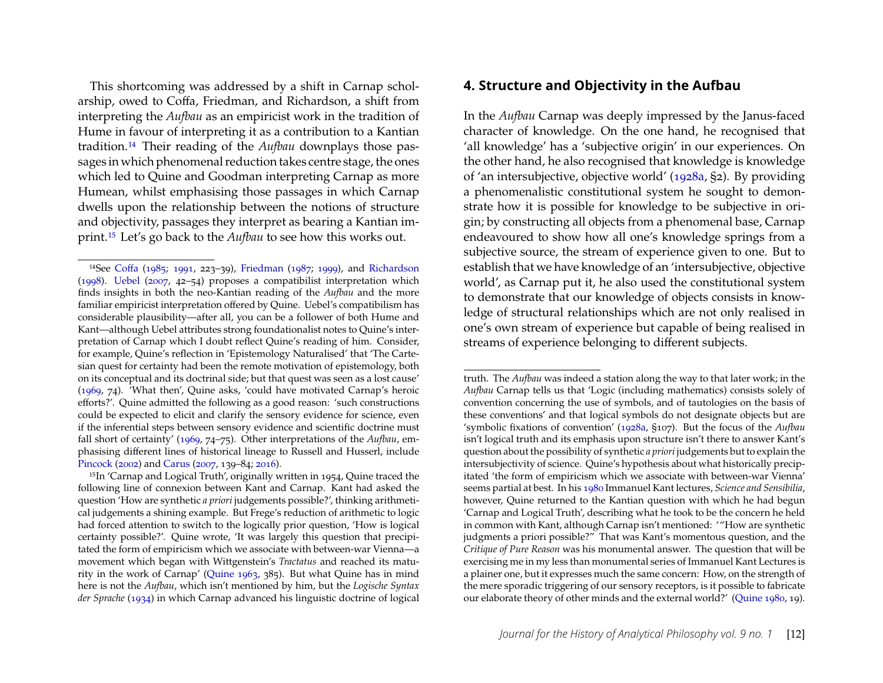This shortcoming was addressed by a shift in Carnap scholarship, owed to Coffa, Friedman, and Richardson, a shift from interpreting the *Aufbau* as an empiricist work in the tradition of Hume in favour of interpreting it as a contribution to a Kantian tradition.[14](#page-12-0) Their reading of the *Aufbau* downplays those passages in which phenomenal reduction takes centre stage, the ones which led to Quine and Goodman interpreting Carnap as more Humean, whilst emphasising those passages in which Carnap dwells upon the relationship between the notions of structure and objectivity, passages they interpret as bearing a Kantian imprint.[15](#page-12-1) Let's go back to the *Aufbau* to see how this works out.

#### **4. Structure and Objectivity in the Aufbau**

In the *Aufbau* Carnap was deeply impressed by the Janus-faced character of knowledge. On the one hand, he recognised that 'all knowledge' has a 'subjective origin' in our experiences. On the other hand, he also recognised that knowledge is knowledge of 'an intersubjective, objective world' [\(1928a,](#page-28-4) §2). By providing a phenomenalistic constitutional system he sought to demonstrate how it is possible for knowledge to be subjective in origin; by constructing all objects from a phenomenal base, Carnap endeavoured to show how all one's knowledge springs from a subjective source, the stream of experience given to one. But to establish that we have knowledge of an 'intersubjective, objective world', as Carnap put it, he also used the constitutional system to demonstrate that our knowledge of objects consists in knowledge of structural relationships which are not only realised in one's own stream of experience but capable of being realised in streams of experience belonging to different subjects.

<span id="page-12-0"></span><sup>14</sup>See [Coffa](#page-28-8) [\(1985;](#page-28-8) [1991,](#page-29-16) 223–39), [Friedman](#page-29-13) [\(1987;](#page-29-13) [1999\)](#page-29-17), and [Richardson](#page-31-9) [\(1998\)](#page-31-9). [Uebel](#page-31-15) [\(2007,](#page-31-15) 42–54) proposes a compatibilist interpretation which finds insights in both the neo-Kantian reading of the *Aufbau* and the more familiar empiricist interpretation offered by Quine. Uebel's compatibilism has considerable plausibility—after all, you can be a follower of both Hume and Kant—although Uebel attributes strong foundationalist notes to Quine's interpretation of Carnap which I doubt reflect Quine's reading of him. Consider, for example, Quine's reflection in 'Epistemology Naturalised' that 'The Cartesian quest for certainty had been the remote motivation of epistemology, both on its conceptual and its doctrinal side; but that quest was seen as a lost cause' [\(1969,](#page-31-13) 74). 'What then', Quine asks, 'could have motivated Carnap's heroic efforts?'. Quine admitted the following as a good reason: 'such constructions could be expected to elicit and clarify the sensory evidence for science, even if the inferential steps between sensory evidence and scientific doctrine must fall short of certainty' [\(1969,](#page-31-13) 74–75). Other interpretations of the *Aufbau*, emphasising different lines of historical lineage to Russell and Husserl, include [Pincock](#page-31-16) [\(2002\)](#page-31-16) and [Carus](#page-28-9) [\(2007,](#page-28-9) 139–84; [2016\)](#page-28-10).

<span id="page-12-1"></span><sup>15</sup>In 'Carnap and Logical Truth', originally written in 1954, Quine traced the following line of connexion between Kant and Carnap. Kant had asked the question 'How are synthetic *a priori* judgements possible?', thinking arithmetical judgements a shining example. But Frege's reduction of arithmetic to logic had forced attention to switch to the logically prior question, 'How is logical certainty possible?'. Quine wrote, 'It was largely this question that precipitated the form of empiricism which we associate with between-war Vienna—a movement which began with Wittgenstein's *Tractatus* and reached its maturity in the work of Carnap' [\(Quine 1963,](#page-31-17) 385). But what Quine has in mind here is not the *Aufbau*, which isn't mentioned by him, but the *Logische Syntax der Sprache* [\(1934\)](#page-28-11) in which Carnap advanced his linguistic doctrine of logical

truth. The *Aufbau* was indeed a station along the way to that later work; in the *Aufbau* Carnap tells us that 'Logic (including mathematics) consists solely of convention concerning the use of symbols, and of tautologies on the basis of these conventions' and that logical symbols do not designate objects but are 'symbolic fixations of convention' [\(1928a,](#page-28-4) §107). But the focus of the *Aufbau* isn't logical truth and its emphasis upon structure isn't there to answer Kant's question about the possibility of synthetic *a priori* judgements but to explain the intersubjectivity of science. Quine's hypothesis about what historically precipitated 'the form of empiricism which we associate with between-war Vienna' seems partial at best. In his [1980](#page-31-18) Immanuel Kant lectures, *Science and Sensibilia*, however, Quine returned to the Kantian question with which he had begun 'Carnap and Logical Truth', describing what he took to be the concern he held in common with Kant, although Carnap isn't mentioned: '"How are synthetic judgments a priori possible?" That was Kant's momentous question, and the *Critique of Pure Reason* was his monumental answer. The question that will be exercising me in my less than monumental series of Immanuel Kant Lectures is a plainer one, but it expresses much the same concern: How, on the strength of the mere sporadic triggering of our sensory receptors, is it possible to fabricate our elaborate theory of other minds and the external world?' [\(Quine 1980,](#page-31-18) 19).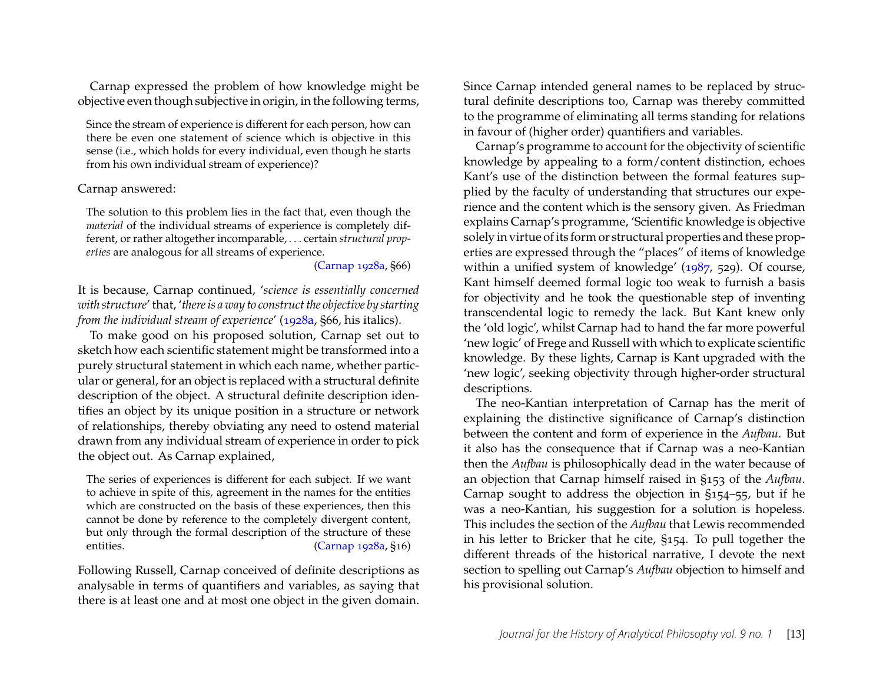Carnap expressed the problem of how knowledge might be objective even though subjective in origin, in the following terms,

Since the stream of experience is different for each person, how can there be even one statement of science which is objective in this sense (i.e., which holds for every individual, even though he starts from his own individual stream of experience)?

#### Carnap answered:

The solution to this problem lies in the fact that, even though the *material* of the individual streams of experience is completely different, or rather altogether incomparable, . . . certain *structural properties* are analogous for all streams of experience.

[\(Carnap 1928a,](#page-28-4) §66)

It is because, Carnap continued, '*science is essentially concerned with structure*' that, '*there is a way to construct the objective by starting from the individual stream of experience'* [\(1928a,](#page-28-4) §66, his italics).

To make good on his proposed solution, Carnap set out to sketch how each scientific statement might be transformed into a purely structural statement in which each name, whether particular or general, for an object is replaced with a structural definite description of the object. A structural definite description identifies an object by its unique position in a structure or network of relationships, thereby obviating any need to ostend material drawn from any individual stream of experience in order to pick the object out. As Carnap explained,

The series of experiences is different for each subject. If we want to achieve in spite of this, agreement in the names for the entities which are constructed on the basis of these experiences, then this cannot be done by reference to the completely divergent content, but only through the formal description of the structure of these entities. [\(Carnap 1928a,](#page-28-4) §16)

Following Russell, Carnap conceived of definite descriptions as analysable in terms of quantifiers and variables, as saying that there is at least one and at most one object in the given domain.

Since Carnap intended general names to be replaced by structural definite descriptions too, Carnap was thereby committed to the programme of eliminating all terms standing for relations in favour of (higher order) quantifiers and variables.

Carnap's programme to account for the objectivity of scientific knowledge by appealing to a form/content distinction, echoes Kant's use of the distinction between the formal features supplied by the faculty of understanding that structures our experience and the content which is the sensory given. As Friedman explains Carnap's programme, 'Scientific knowledge is objective solely in virtue of its form or structural properties and these properties are expressed through the "places" of items of knowledge within a unified system of knowledge' [\(1987,](#page-29-13) 529). Of course, Kant himself deemed formal logic too weak to furnish a basis for objectivity and he took the questionable step of inventing transcendental logic to remedy the lack. But Kant knew only the 'old logic', whilst Carnap had to hand the far more powerful 'new logic' of Frege and Russell with which to explicate scientific knowledge. By these lights, Carnap is Kant upgraded with the 'new logic', seeking objectivity through higher-order structural descriptions.

The neo-Kantian interpretation of Carnap has the merit of explaining the distinctive significance of Carnap's distinction between the content and form of experience in the *Aufbau*. But it also has the consequence that if Carnap was a neo-Kantian then the *Aufbau* is philosophically dead in the water because of an objection that Carnap himself raised in §153 of the *Aufbau*. Carnap sought to address the objection in §154–55, but if he was a neo-Kantian, his suggestion for a solution is hopeless. This includes the section of the *Aufbau* that Lewis recommended in his letter to Bricker that he cite, §154. To pull together the different threads of the historical narrative, I devote the next section to spelling out Carnap's *Aufbau* objection to himself and his provisional solution.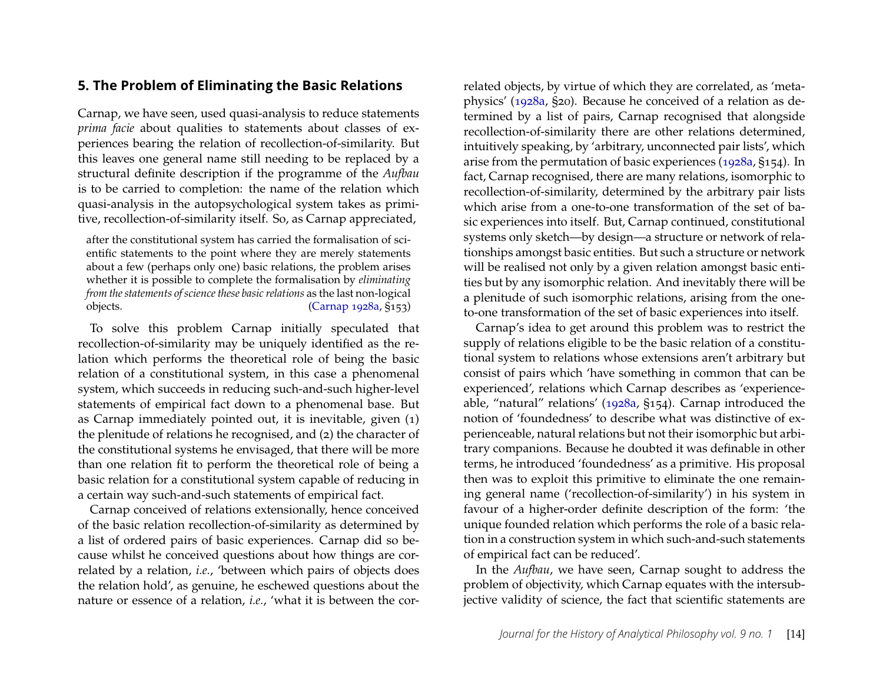## <span id="page-14-0"></span>**5. The Problem of Eliminating the Basic Relations**

Carnap, we have seen, used quasi-analysis to reduce statements *prima facie* about qualities to statements about classes of experiences bearing the relation of recollection-of-similarity. But this leaves one general name still needing to be replaced by a structural definite description if the programme of the *Aufbau* is to be carried to completion: the name of the relation which quasi-analysis in the autopsychological system takes as primitive, recollection-of-similarity itself. So, as Carnap appreciated,

after the constitutional system has carried the formalisation of scientific statements to the point where they are merely statements about a few (perhaps only one) basic relations, the problem arises whether it is possible to complete the formalisation by *eliminating from the statements of science these basic relations* as the last non-logical objects. [\(Carnap 1928a,](#page-28-4) §153)

To solve this problem Carnap initially speculated that recollection-of-similarity may be uniquely identified as the relation which performs the theoretical role of being the basic relation of a constitutional system, in this case a phenomenal system, which succeeds in reducing such-and-such higher-level statements of empirical fact down to a phenomenal base. But as Carnap immediately pointed out, it is inevitable, given (1) the plenitude of relations he recognised, and (2) the character of the constitutional systems he envisaged, that there will be more than one relation fit to perform the theoretical role of being a basic relation for a constitutional system capable of reducing in a certain way such-and-such statements of empirical fact.

Carnap conceived of relations extensionally, hence conceived of the basic relation recollection-of-similarity as determined by a list of ordered pairs of basic experiences. Carnap did so because whilst he conceived questions about how things are correlated by a relation, *i.e.*, 'between which pairs of objects does the relation hold', as genuine, he eschewed questions about the nature or essence of a relation, *i.e.*, 'what it is between the cor-

related objects, by virtue of which they are correlated, as 'metaphysics' [\(1928a,](#page-28-4) §20). Because he conceived of a relation as determined by a list of pairs, Carnap recognised that alongside recollection-of-similarity there are other relations determined, intuitively speaking, by 'arbitrary, unconnected pair lists', which arise from the permutation of basic experiences [\(1928a,](#page-28-4) §154). In fact, Carnap recognised, there are many relations, isomorphic to recollection-of-similarity, determined by the arbitrary pair lists which arise from a one-to-one transformation of the set of basic experiences into itself. But, Carnap continued, constitutional systems only sketch—by design—a structure or network of relationships amongst basic entities. But such a structure or network will be realised not only by a given relation amongst basic entities but by any isomorphic relation. And inevitably there will be a plenitude of such isomorphic relations, arising from the oneto-one transformation of the set of basic experiences into itself.

Carnap's idea to get around this problem was to restrict the supply of relations eligible to be the basic relation of a constitutional system to relations whose extensions aren't arbitrary but consist of pairs which 'have something in common that can be experienced', relations which Carnap describes as 'experienceable, "natural" relations' [\(1928a,](#page-28-4) §154). Carnap introduced the notion of 'foundedness' to describe what was distinctive of experienceable, natural relations but not their isomorphic but arbitrary companions. Because he doubted it was definable in other terms, he introduced 'foundedness' as a primitive. His proposal then was to exploit this primitive to eliminate the one remaining general name ('recollection-of-similarity') in his system in favour of a higher-order definite description of the form: 'the unique founded relation which performs the role of a basic relation in a construction system in which such-and-such statements of empirical fact can be reduced'.

In the *Aufbau*, we have seen, Carnap sought to address the problem of objectivity, which Carnap equates with the intersubjective validity of science, the fact that scientific statements are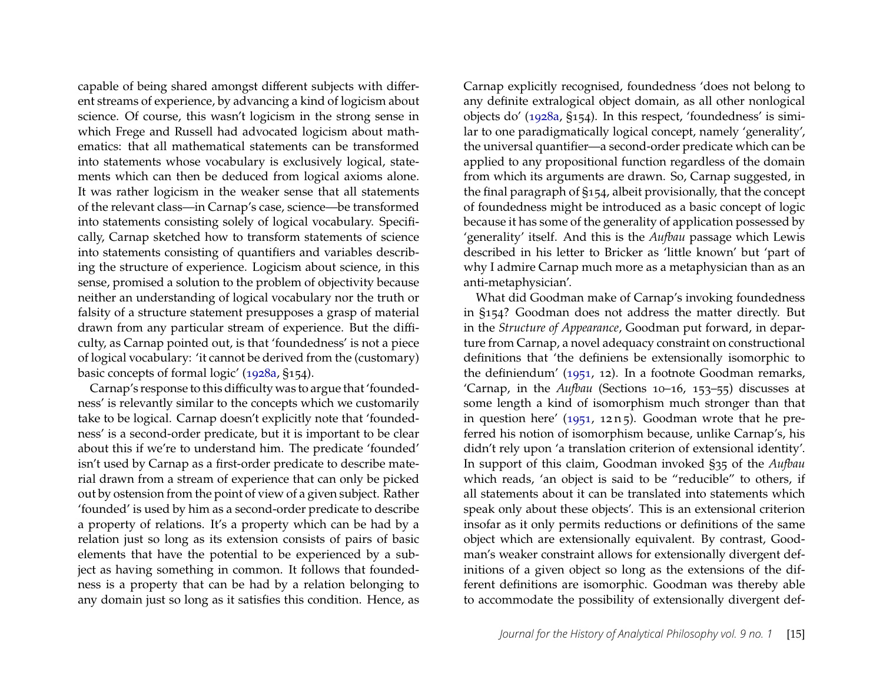capable of being shared amongst different subjects with different streams of experience, by advancing a kind of logicism about science. Of course, this wasn't logicism in the strong sense in which Frege and Russell had advocated logicism about mathematics: that all mathematical statements can be transformed into statements whose vocabulary is exclusively logical, statements which can then be deduced from logical axioms alone. It was rather logicism in the weaker sense that all statements of the relevant class—in Carnap's case, science—be transformed into statements consisting solely of logical vocabulary. Specifically, Carnap sketched how to transform statements of science into statements consisting of quantifiers and variables describing the structure of experience. Logicism about science, in this sense, promised a solution to the problem of objectivity because neither an understanding of logical vocabulary nor the truth or falsity of a structure statement presupposes a grasp of material drawn from any particular stream of experience. But the difficulty, as Carnap pointed out, is that 'foundedness' is not a piece of logical vocabulary: 'it cannot be derived from the (customary) basic concepts of formal logic' [\(1928a,](#page-28-4) §154).

Carnap's response to this difficulty was to argue that 'foundedness' is relevantly similar to the concepts which we customarily take to be logical. Carnap doesn't explicitly note that 'foundedness' is a second-order predicate, but it is important to be clear about this if we're to understand him. The predicate 'founded' isn't used by Carnap as a first-order predicate to describe material drawn from a stream of experience that can only be picked out by ostension from the point of view of a given subject. Rather 'founded' is used by him as a second-order predicate to describe a property of relations. It's a property which can be had by a relation just so long as its extension consists of pairs of basic elements that have the potential to be experienced by a subject as having something in common. It follows that foundedness is a property that can be had by a relation belonging to any domain just so long as it satisfies this condition. Hence, as

Carnap explicitly recognised, foundedness 'does not belong to any definite extralogical object domain, as all other nonlogical objects do' [\(1928a,](#page-28-4) §154). In this respect, 'foundedness' is similar to one paradigmatically logical concept, namely 'generality', the universal quantifier—a second-order predicate which can be applied to any propositional function regardless of the domain from which its arguments are drawn. So, Carnap suggested, in the final paragraph of §154, albeit provisionally, that the concept of foundedness might be introduced as a basic concept of logic because it has some of the generality of application possessed by 'generality' itself. And this is the *Aufbau* passage which Lewis described in his letter to Bricker as 'little known' but 'part of why I admire Carnap much more as a metaphysician than as an anti-metaphysician'.

What did Goodman make of Carnap's invoking foundedness in §154? Goodman does not address the matter directly. But in the *Structure of Appearance*, Goodman put forward, in departure from Carnap, a novel adequacy constraint on constructional definitions that 'the definiens be extensionally isomorphic to the definiendum' [\(1951,](#page-29-10) 12). In a footnote Goodman remarks, 'Carnap, in the *Aufbau* (Sections 10–16, 153–55) discusses at some length a kind of isomorphism much stronger than that in question here' [\(1951,](#page-29-10) 12 n 5). Goodman wrote that he preferred his notion of isomorphism because, unlike Carnap's, his didn't rely upon 'a translation criterion of extensional identity'. In support of this claim, Goodman invoked §35 of the *Aufbau* which reads, 'an object is said to be "reducible" to others, if all statements about it can be translated into statements which speak only about these objects'. This is an extensional criterion insofar as it only permits reductions or definitions of the same object which are extensionally equivalent. By contrast, Goodman's weaker constraint allows for extensionally divergent definitions of a given object so long as the extensions of the different definitions are isomorphic. Goodman was thereby able to accommodate the possibility of extensionally divergent def-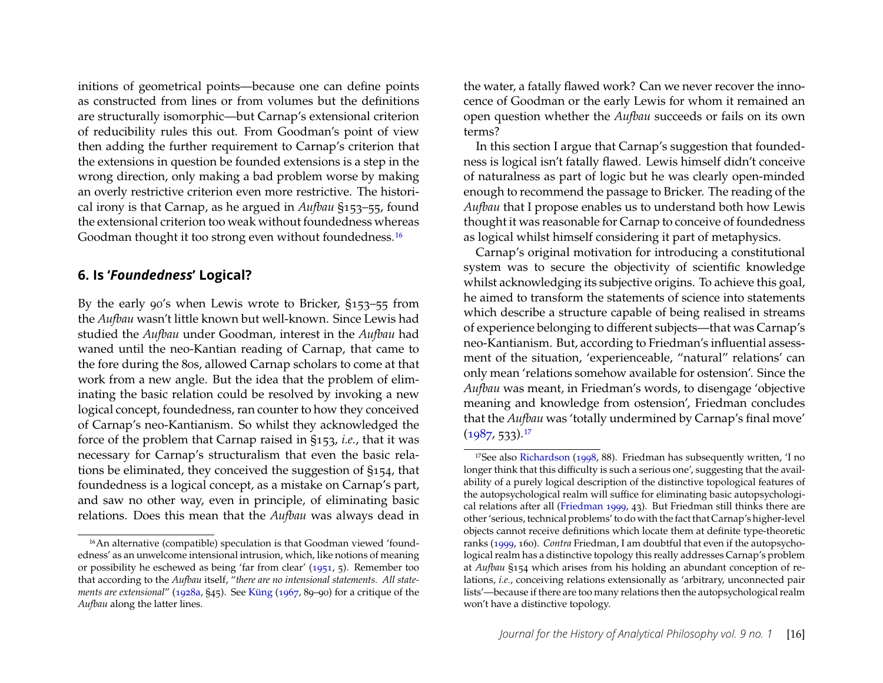initions of geometrical points—because one can define points as constructed from lines or from volumes but the definitions are structurally isomorphic—but Carnap's extensional criterion of reducibility rules this out. From Goodman's point of view then adding the further requirement to Carnap's criterion that the extensions in question be founded extensions is a step in the wrong direction, only making a bad problem worse by making an overly restrictive criterion even more restrictive. The historical irony is that Carnap, as he argued in *Aufbau* §153–55, found the extensional criterion too weak without foundedness whereas Goodman thought it too strong even without foundedness.<sup>[16](#page-16-1)</sup>

#### <span id="page-16-0"></span>**6. Is '***Foundedness***' Logical?**

By the early 90's when Lewis wrote to Bricker, §153–55 from the *Aufbau* wasn't little known but well-known. Since Lewis had studied the *Aufbau* under Goodman, interest in the *Aufbau* had waned until the neo-Kantian reading of Carnap, that came to the fore during the 80s, allowed Carnap scholars to come at that work from a new angle. But the idea that the problem of eliminating the basic relation could be resolved by invoking a new logical concept, foundedness, ran counter to how they conceived of Carnap's neo-Kantianism. So whilst they acknowledged the force of the problem that Carnap raised in §153, *i.e.*, that it was necessary for Carnap's structuralism that even the basic relations be eliminated, they conceived the suggestion of §154, that foundedness is a logical concept, as a mistake on Carnap's part, and saw no other way, even in principle, of eliminating basic relations. Does this mean that the *Aufbau* was always dead in the water, a fatally flawed work? Can we never recover the innocence of Goodman or the early Lewis for whom it remained an open question whether the *Aufbau* succeeds or fails on its own terms?

In this section I argue that Carnap's suggestion that foundedness is logical isn't fatally flawed. Lewis himself didn't conceive of naturalness as part of logic but he was clearly open-minded enough to recommend the passage to Bricker. The reading of the *Aufbau* that I propose enables us to understand both how Lewis thought it was reasonable for Carnap to conceive of foundedness as logical whilst himself considering it part of metaphysics.

Carnap's original motivation for introducing a constitutional system was to secure the objectivity of scientific knowledge whilst acknowledging its subjective origins. To achieve this goal, he aimed to transform the statements of science into statements which describe a structure capable of being realised in streams of experience belonging to different subjects—that was Carnap's neo-Kantianism. But, according to Friedman's influential assessment of the situation, 'experienceable, "natural" relations' can only mean 'relations somehow available for ostension'. Since the *Aufbau* was meant, in Friedman's words, to disengage 'objective meaning and knowledge from ostension', Friedman concludes that the *Aufbau* was 'totally undermined by Carnap's final move'  $(1987, 533).$  $(1987, 533).$ <sup>[17](#page-16-2)</sup>

<span id="page-16-1"></span><sup>16</sup>An alternative (compatible) speculation is that Goodman viewed 'foundedness' as an unwelcome intensional intrusion, which, like notions of meaning or possibility he eschewed as being 'far from clear' [\(1951,](#page-29-10) 5). Remember too that according to the *Aufbau* itself, "*there are no intensional statements. All statements are extensional*" [\(1928a,](#page-28-4) §45). See [Küng](#page-30-17) [\(1967,](#page-30-17) 89–90) for a critique of the *Aufbau* along the latter lines.

<span id="page-16-2"></span><sup>17</sup>See also [Richardson](#page-31-9) [\(1998,](#page-31-9) 88). Friedman has subsequently written, 'I no longer think that this difficulty is such a serious one', suggesting that the availability of a purely logical description of the distinctive topological features of the autopsychological realm will suffice for eliminating basic autopsychological relations after all [\(Friedman 1999,](#page-29-17) 43). But Friedman still thinks there are other 'serious, technical problems' to do with the fact that Carnap's higher-level objects cannot receive definitions which locate them at definite type-theoretic ranks [\(1999,](#page-29-17) 160). *Contra* Friedman, I am doubtful that even if the autopsychological realm has a distinctive topology this really addresses Carnap's problem at *Aufbau* §154 which arises from his holding an abundant conception of relations, *i.e.*, conceiving relations extensionally as 'arbitrary, unconnected pair lists'—because if there are too many relations then the autopsychological realm won't have a distinctive topology.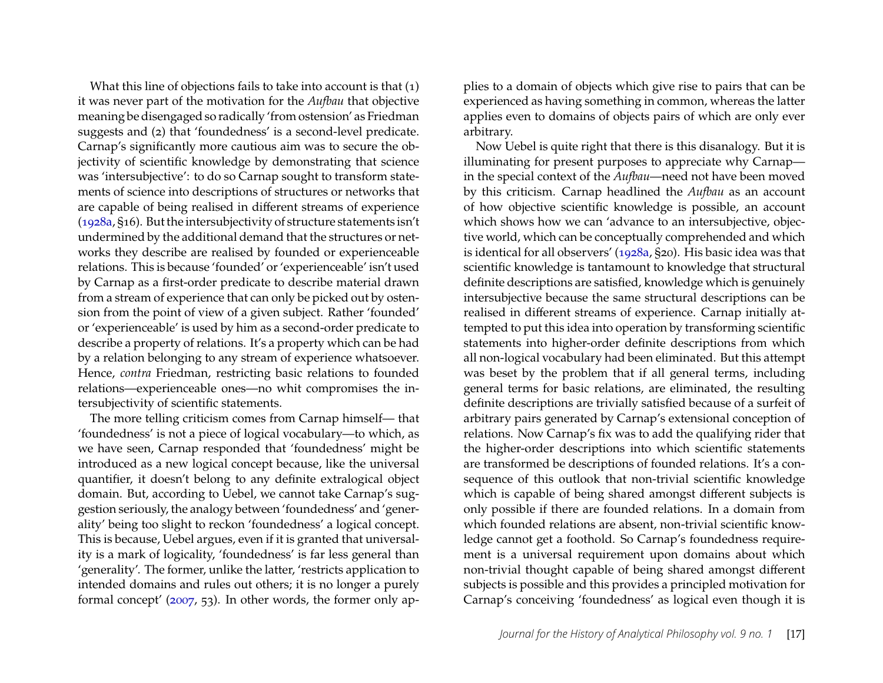What this line of objections fails to take into account is that (1) it was never part of the motivation for the *Aufbau* that objective meaning be disengaged so radically 'from ostension' as Friedman suggests and (2) that 'foundedness' is a second-level predicate. Carnap's significantly more cautious aim was to secure the objectivity of scientific knowledge by demonstrating that science was 'intersubjective': to do so Carnap sought to transform statements of science into descriptions of structures or networks that are capable of being realised in different streams of experience [\(1928a,](#page-28-4) §16). But the intersubjectivity of structure statements isn't undermined by the additional demand that the structures or networks they describe are realised by founded or experienceable relations. This is because 'founded' or 'experienceable' isn't used by Carnap as a first-order predicate to describe material drawn from a stream of experience that can only be picked out by ostension from the point of view of a given subject. Rather 'founded' or 'experienceable' is used by him as a second-order predicate to describe a property of relations. It's a property which can be had by a relation belonging to any stream of experience whatsoever. Hence, *contra* Friedman, restricting basic relations to founded relations—experienceable ones—no whit compromises the intersubjectivity of scientific statements.

The more telling criticism comes from Carnap himself— that 'foundedness' is not a piece of logical vocabulary—to which, as we have seen, Carnap responded that 'foundedness' might be introduced as a new logical concept because, like the universal quantifier, it doesn't belong to any definite extralogical object domain. But, according to Uebel, we cannot take Carnap's suggestion seriously, the analogy between 'foundedness' and 'generality' being too slight to reckon 'foundedness' a logical concept. This is because, Uebel argues, even if it is granted that universality is a mark of logicality, 'foundedness' is far less general than 'generality'. The former, unlike the latter, 'restricts application to intended domains and rules out others; it is no longer a purely formal concept' [\(2007,](#page-31-15) 53). In other words, the former only ap-

plies to a domain of objects which give rise to pairs that can be experienced as having something in common, whereas the latter applies even to domains of objects pairs of which are only ever arbitrary.

Now Uebel is quite right that there is this disanalogy. But it is illuminating for present purposes to appreciate why Carnap in the special context of the *Aufbau*—need not have been moved by this criticism. Carnap headlined the *Aufbau* as an account of how objective scientific knowledge is possible, an account which shows how we can 'advance to an intersubjective, objective world, which can be conceptually comprehended and which is identical for all observers' [\(1928a,](#page-28-4) §20). His basic idea was that scientific knowledge is tantamount to knowledge that structural definite descriptions are satisfied, knowledge which is genuinely intersubjective because the same structural descriptions can be realised in different streams of experience. Carnap initially attempted to put this idea into operation by transforming scientific statements into higher-order definite descriptions from which all non-logical vocabulary had been eliminated. But this attempt was beset by the problem that if all general terms, including general terms for basic relations, are eliminated, the resulting definite descriptions are trivially satisfied because of a surfeit of arbitrary pairs generated by Carnap's extensional conception of relations. Now Carnap's fix was to add the qualifying rider that the higher-order descriptions into which scientific statements are transformed be descriptions of founded relations. It's a consequence of this outlook that non-trivial scientific knowledge which is capable of being shared amongst different subjects is only possible if there are founded relations. In a domain from which founded relations are absent, non-trivial scientific knowledge cannot get a foothold. So Carnap's foundedness requirement is a universal requirement upon domains about which non-trivial thought capable of being shared amongst different subjects is possible and this provides a principled motivation for Carnap's conceiving 'foundedness' as logical even though it is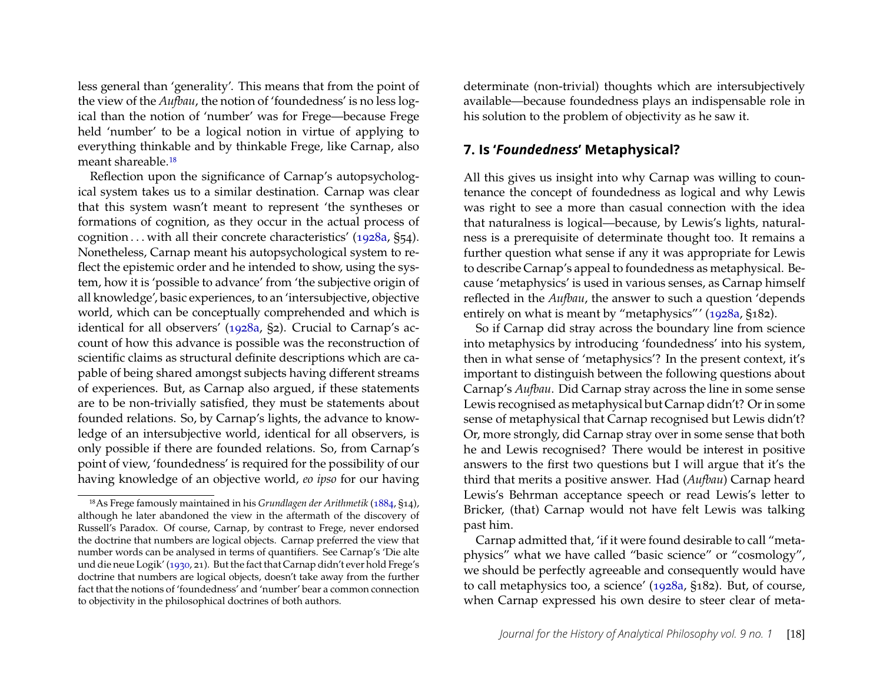less general than 'generality'. This means that from the point of the view of the *Aufbau*, the notion of 'foundedness' is no less logical than the notion of 'number' was for Frege—because Frege held 'number' to be a logical notion in virtue of applying to everything thinkable and by thinkable Frege, like Carnap, also meant shareable.[18](#page-18-0)

Reflection upon the significance of Carnap's autopsychological system takes us to a similar destination. Carnap was clear that this system wasn't meant to represent 'the syntheses or formations of cognition, as they occur in the actual process of cognition . . . with all their concrete characteristics' [\(1928a,](#page-28-4) §54). Nonetheless, Carnap meant his autopsychological system to reflect the epistemic order and he intended to show, using the system, how it is 'possible to advance' from 'the subjective origin of all knowledge', basic experiences, to an 'intersubjective, objective world, which can be conceptually comprehended and which is identical for all observers' [\(1928a,](#page-28-4) §2). Crucial to Carnap's account of how this advance is possible was the reconstruction of scientific claims as structural definite descriptions which are capable of being shared amongst subjects having different streams of experiences. But, as Carnap also argued, if these statements are to be non-trivially satisfied, they must be statements about founded relations. So, by Carnap's lights, the advance to knowledge of an intersubjective world, identical for all observers, is only possible if there are founded relations. So, from Carnap's point of view, 'foundedness' is required for the possibility of our having knowledge of an objective world, *eo ipso* for our having

determinate (non-trivial) thoughts which are intersubjectively available—because foundedness plays an indispensable role in his solution to the problem of objectivity as he saw it.

#### **7. Is '***Foundedness***' Metaphysical?**

All this gives us insight into why Carnap was willing to countenance the concept of foundedness as logical and why Lewis was right to see a more than casual connection with the idea that naturalness is logical—because, by Lewis's lights, naturalness is a prerequisite of determinate thought too. It remains a further question what sense if any it was appropriate for Lewis to describe Carnap's appeal to foundedness as metaphysical. Because 'metaphysics' is used in various senses, as Carnap himself reflected in the *Aufbau*, the answer to such a question 'depends entirely on what is meant by "metaphysics"' [\(1928a,](#page-28-4) §182).

So if Carnap did stray across the boundary line from science into metaphysics by introducing 'foundedness' into his system, then in what sense of 'metaphysics'? In the present context, it's important to distinguish between the following questions about Carnap's *Aufbau*. Did Carnap stray across the line in some sense Lewis recognised as metaphysical but Carnap didn't? Or in some sense of metaphysical that Carnap recognised but Lewis didn't? Or, more strongly, did Carnap stray over in some sense that both he and Lewis recognised? There would be interest in positive answers to the first two questions but I will argue that it's the third that merits a positive answer. Had (*Aufbau*) Carnap heard Lewis's Behrman acceptance speech or read Lewis's letter to Bricker, (that) Carnap would not have felt Lewis was talking past him.

Carnap admitted that, 'if it were found desirable to call "metaphysics" what we have called "basic science" or "cosmology", we should be perfectly agreeable and consequently would have to call metaphysics too, a science' [\(1928a,](#page-28-4) §182). But, of course, when Carnap expressed his own desire to steer clear of meta-

<span id="page-18-0"></span><sup>18</sup>As Frege famously maintained in his *Grundlagen der Arithmetik* [\(1884,](#page-29-18) §14), although he later abandoned the view in the aftermath of the discovery of Russell's Paradox. Of course, Carnap, by contrast to Frege, never endorsed the doctrine that numbers are logical objects. Carnap preferred the view that number words can be analysed in terms of quantifiers. See Carnap's 'Die alte und die neue Logik' [\(1930,](#page-28-12) 21). But the fact that Carnap didn't ever hold Frege's doctrine that numbers are logical objects, doesn't take away from the further fact that the notions of 'foundedness' and 'number' bear a common connection to objectivity in the philosophical doctrines of both authors.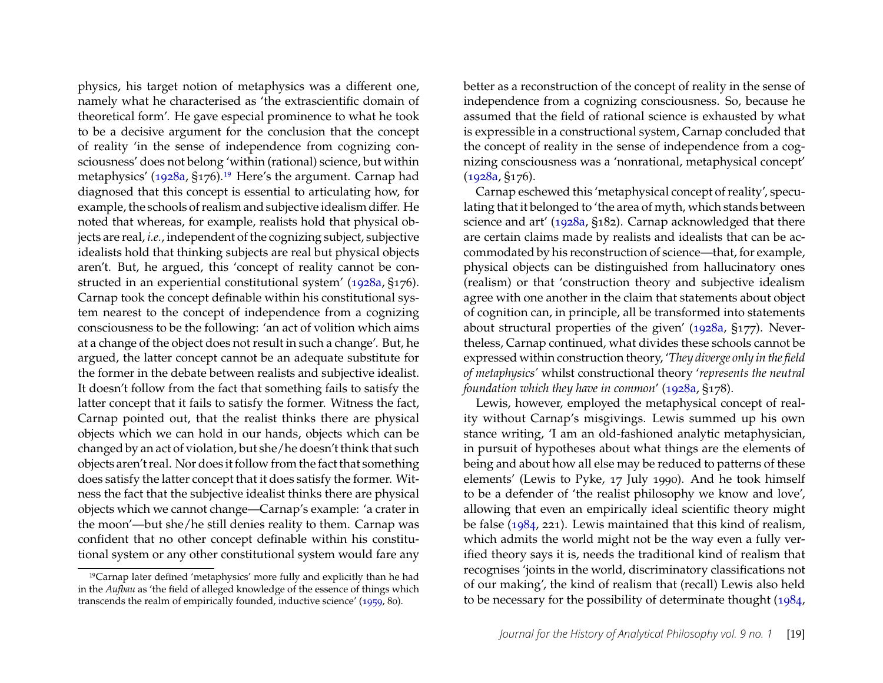physics, his target notion of metaphysics was a different one, namely what he characterised as 'the extrascientific domain of theoretical form'. He gave especial prominence to what he took to be a decisive argument for the conclusion that the concept of reality 'in the sense of independence from cognizing consciousness' does not belong 'within (rational) science, but within metaphysics' [\(1928a,](#page-28-4) §176).<sup>[19](#page-19-0)</sup> Here's the argument. Carnap had diagnosed that this concept is essential to articulating how, for example, the schools of realism and subjective idealism differ. He noted that whereas, for example, realists hold that physical objects are real, *i.e.*, independent of the cognizing subject, subjective idealists hold that thinking subjects are real but physical objects aren't. But, he argued, this 'concept of reality cannot be constructed in an experiential constitutional system' [\(1928a,](#page-28-4) §176). Carnap took the concept definable within his constitutional system nearest to the concept of independence from a cognizing consciousness to be the following: 'an act of volition which aims at a change of the object does not result in such a change'. But, he argued, the latter concept cannot be an adequate substitute for the former in the debate between realists and subjective idealist. It doesn't follow from the fact that something fails to satisfy the latter concept that it fails to satisfy the former. Witness the fact, Carnap pointed out, that the realist thinks there are physical objects which we can hold in our hands, objects which can be changed by an act of violation, but she/he doesn't think that such objects aren't real. Nor does it follow from the fact that something does satisfy the latter concept that it does satisfy the former. Witness the fact that the subjective idealist thinks there are physical objects which we cannot change—Carnap's example: 'a crater in the moon'—but she/he still denies reality to them. Carnap was confident that no other concept definable within his constitutional system or any other constitutional system would fare any

better as a reconstruction of the concept of reality in the sense of independence from a cognizing consciousness. So, because he assumed that the field of rational science is exhausted by what is expressible in a constructional system, Carnap concluded that the concept of reality in the sense of independence from a cognizing consciousness was a 'nonrational, metaphysical concept' [\(1928a,](#page-28-4) §176).

Carnap eschewed this 'metaphysical concept of reality', speculating that it belonged to 'the area of myth, which stands between science and art' [\(1928a,](#page-28-4) §182). Carnap acknowledged that there are certain claims made by realists and idealists that can be accommodated by his reconstruction of science—that, for example, physical objects can be distinguished from hallucinatory ones (realism) or that 'construction theory and subjective idealism agree with one another in the claim that statements about object of cognition can, in principle, all be transformed into statements about structural properties of the given' [\(1928a,](#page-28-4) §177). Nevertheless, Carnap continued, what divides these schools cannot be expressed within construction theory, '*They diverge only in the field of metaphysics'* whilst constructional theory '*represents the neutral foundation which they have in common*' [\(1928a,](#page-28-4) §178).

Lewis, however, employed the metaphysical concept of reality without Carnap's misgivings. Lewis summed up his own stance writing, 'I am an old-fashioned analytic metaphysician, in pursuit of hypotheses about what things are the elements of being and about how all else may be reduced to patterns of these elements' (Lewis to Pyke, 17 July 1990). And he took himself to be a defender of 'the realist philosophy we know and love', allowing that even an empirically ideal scientific theory might be false [\(1984,](#page-30-1) 221). Lewis maintained that this kind of realism, which admits the world might not be the way even a fully verified theory says it is, needs the traditional kind of realism that recognises 'joints in the world, discriminatory classifications not of our making', the kind of realism that (recall) Lewis also held to be necessary for the possibility of determinate thought [\(1984,](#page-30-1)

<span id="page-19-0"></span><sup>19</sup>Carnap later defined 'metaphysics' more fully and explicitly than he had in the *Aufbau* as 'the field of alleged knowledge of the essence of things which transcends the realm of empirically founded, inductive science' [\(1959,](#page-28-13) 80).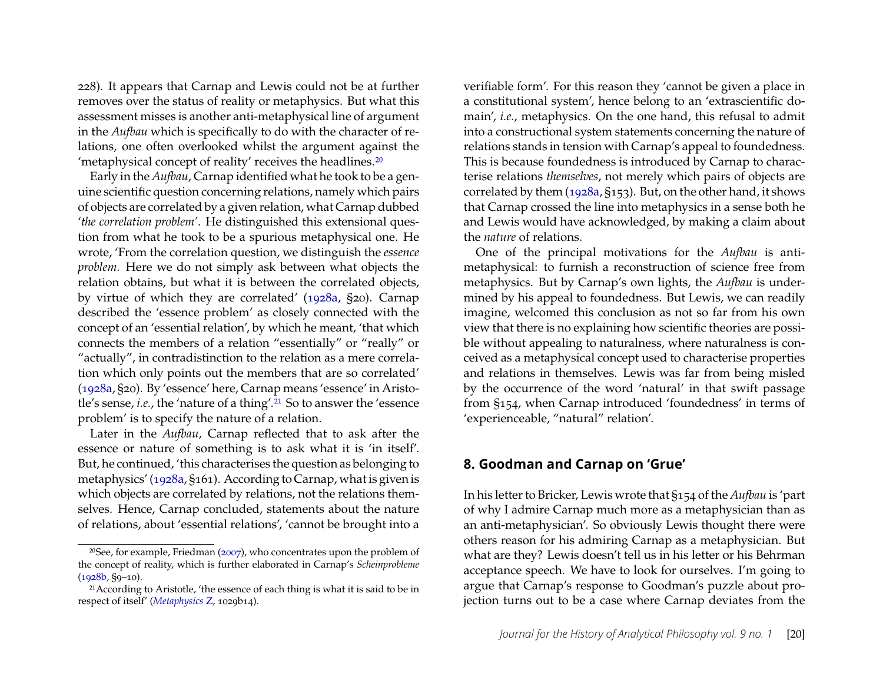228). It appears that Carnap and Lewis could not be at further removes over the status of reality or metaphysics. But what this assessment misses is another anti-metaphysical line of argument in the *Aufbau* which is specifically to do with the character of relations, one often overlooked whilst the argument against the 'metaphysical concept of reality' receives the headlines.[20](#page-20-0)

Early in the *Aufbau*, Carnap identified what he took to be a genuine scientific question concerning relations, namely which pairs of objects are correlated by a given relation, what Carnap dubbed '*the correlation problem'*. He distinguished this extensional question from what he took to be a spurious metaphysical one. He wrote, 'From the correlation question, we distinguish the *essence problem.* Here we do not simply ask between what objects the relation obtains, but what it is between the correlated objects, by virtue of which they are correlated' [\(1928a,](#page-28-4) §20). Carnap described the 'essence problem' as closely connected with the concept of an 'essential relation', by which he meant, 'that which connects the members of a relation "essentially" or "really" or "actually", in contradistinction to the relation as a mere correlation which only points out the members that are so correlated' [\(1928a,](#page-28-4) §20). By 'essence' here, Carnap means 'essence' in Aristotle's sense, *i.e.*, the 'nature of a thing'.[21](#page-20-1) So to answer the 'essence problem' is to specify the nature of a relation.

Later in the *Aufbau*, Carnap reflected that to ask after the essence or nature of something is to ask what it is 'in itself'. But, he continued, 'this characterises the question as belonging to metaphysics' [\(1928a,](#page-28-4) §161). According to Carnap, what is given is which objects are correlated by relations, not the relations themselves. Hence, Carnap concluded, statements about the nature of relations, about 'essential relations', 'cannot be brought into a

verifiable form'. For this reason they 'cannot be given a place in a constitutional system', hence belong to an 'extrascientific domain', *i.e.*, metaphysics. On the one hand, this refusal to admit into a constructional system statements concerning the nature of relations stands in tension with Carnap's appeal to foundedness. This is because foundedness is introduced by Carnap to characterise relations *themselves*, not merely which pairs of objects are correlated by them [\(1928a,](#page-28-4) §153). But, on the other hand, it shows that Carnap crossed the line into metaphysics in a sense both he and Lewis would have acknowledged, by making a claim about the *nature* of relations.

One of the principal motivations for the *Aufbau* is antimetaphysical: to furnish a reconstruction of science free from metaphysics. But by Carnap's own lights, the *Aufbau* is undermined by his appeal to foundedness. But Lewis, we can readily imagine, welcomed this conclusion as not so far from his own view that there is no explaining how scientific theories are possible without appealing to naturalness, where naturalness is conceived as a metaphysical concept used to characterise properties and relations in themselves. Lewis was far from being misled by the occurrence of the word 'natural' in that swift passage from §154, when Carnap introduced 'foundedness' in terms of 'experienceable, "natural" relation'.

#### **8. Goodman and Carnap on 'Grue'**

In his letter to Bricker, Lewis wrote that §154 of the *Aufbau* is 'part of why I admire Carnap much more as a metaphysician than as an anti-metaphysician'. So obviously Lewis thought there were others reason for his admiring Carnap as a metaphysician. But what are they? Lewis doesn't tell us in his letter or his Behrman acceptance speech. We have to look for ourselves. I'm going to argue that Carnap's response to Goodman's puzzle about projection turns out to be a case where Carnap deviates from the

<span id="page-20-0"></span><sup>&</sup>lt;sup>20</sup>See, for example, Friedman ( $2007$ ), who concentrates upon the problem of the concept of reality, which is further elaborated in Carnap's *Scheinprobleme* [\(1928b,](#page-28-14) §9–10).

<span id="page-20-1"></span><sup>&</sup>lt;sup>21</sup> According to Aristotle, 'the essence of each thing is what it is said to be in respect of itself' (*[Metaphysics](#page-27-1)* Z, 1029b14).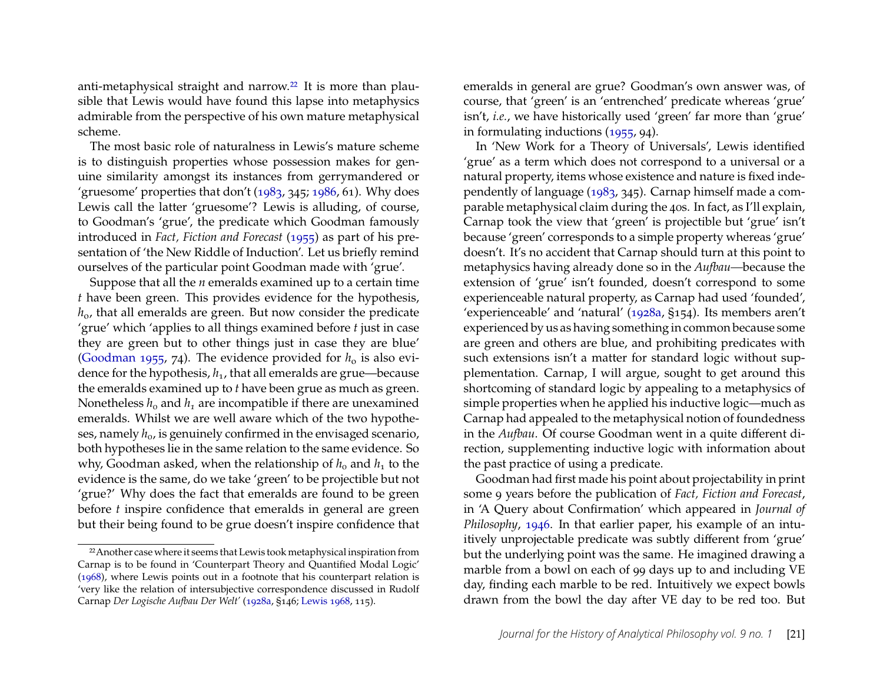anti-metaphysical straight and narrow.<sup>[22](#page-21-0)</sup> It is more than plausible that Lewis would have found this lapse into metaphysics admirable from the perspective of his own mature metaphysical scheme.

The most basic role of naturalness in Lewis's mature scheme is to distinguish properties whose possession makes for genuine similarity amongst its instances from gerrymandered or 'gruesome' properties that don't  $(1983, 345, 1986, 61)$  $(1983, 345, 1986, 61)$  $(1983, 345, 1986, 61)$ . Why does Lewis call the latter 'gruesome'? Lewis is alluding, of course, to Goodman's 'grue', the predicate which Goodman famously introduced in *Fact, Fiction and Forecast* [\(1955\)](#page-29-7) as part of his presentation of 'the New Riddle of Induction'. Let us briefly remind ourselves of the particular point Goodman made with 'grue'.

Suppose that all the *n* emeralds examined up to a certain time *t* have been green. This provides evidence for the hypothesis, *h*o, that all emeralds are green. But now consider the predicate 'grue' which 'applies to all things examined before *t* just in case they are green but to other things just in case they are blue' [\(Goodman 1955,](#page-29-7) 74). The evidence provided for  $h_0$  is also evidence for the hypothesis,  $h_1$ , that all emeralds are grue—because the emeralds examined up to *t* have been grue as much as green. Nonetheless  $h_0$  and  $h_1$  are incompatible if there are unexamined emeralds. Whilst we are well aware which of the two hypotheses, namely  $h_0$ , is genuinely confirmed in the envisaged scenario, both hypotheses lie in the same relation to the same evidence. So why, Goodman asked, when the relationship of  $h_0$  and  $h_1$  to the evidence is the same, do we take 'green' to be projectible but not 'grue?' Why does the fact that emeralds are found to be green before *t* inspire confidence that emeralds in general are green but their being found to be grue doesn't inspire confidence that

emeralds in general are grue? Goodman's own answer was, of course, that 'green' is an 'entrenched' predicate whereas 'grue' isn't, *i.e.*, we have historically used 'green' far more than 'grue' in formulating inductions [\(1955,](#page-29-7) 94).

In 'New Work for a Theory of Universals', Lewis identified 'grue' as a term which does not correspond to a universal or a natural property, items whose existence and nature is fixed independently of language [\(1983,](#page-30-8) 345). Carnap himself made a comparable metaphysical claim during the 40s. In fact, as I'll explain, Carnap took the view that 'green' is projectible but 'grue' isn't because 'green' corresponds to a simple property whereas 'grue' doesn't. It's no accident that Carnap should turn at this point to metaphysics having already done so in the *Aufbau—*because the extension of 'grue' isn't founded, doesn't correspond to some experienceable natural property, as Carnap had used 'founded', 'experienceable' and 'natural' [\(1928a,](#page-28-4) §154). Its members aren't experienced by us as having something in common because some are green and others are blue, and prohibiting predicates with such extensions isn't a matter for standard logic without supplementation. Carnap, I will argue, sought to get around this shortcoming of standard logic by appealing to a metaphysics of simple properties when he applied his inductive logic—much as Carnap had appealed to the metaphysical notion of foundedness in the *Aufbau*. Of course Goodman went in a quite different direction, supplementing inductive logic with information about the past practice of using a predicate.

Goodman had first made his point about projectability in print some 9 years before the publication of *Fact, Fiction and Forecast*, in 'A Query about Confirmation' which appeared in *Journal of Philosophy*, [1946.](#page-29-20) In that earlier paper, his example of an intuitively unprojectable predicate was subtly different from 'grue' but the underlying point was the same. He imagined drawing a marble from a bowl on each of 99 days up to and including VE day, finding each marble to be red. Intuitively we expect bowls drawn from the bowl the day after VE day to be red too. But

<span id="page-21-0"></span><sup>&</sup>lt;sup>22</sup> Another case where it seems that Lewis took metaphysical inspiration from Carnap is to be found in 'Counterpart Theory and Quantified Modal Logic' [\(1968\)](#page-30-18), where Lewis points out in a footnote that his counterpart relation is 'very like the relation of intersubjective correspondence discussed in Rudolf Carnap *Der Logische Aufbau Der Welt'* [\(1928a,](#page-28-4) §146; [Lewis 1968,](#page-30-18) 115).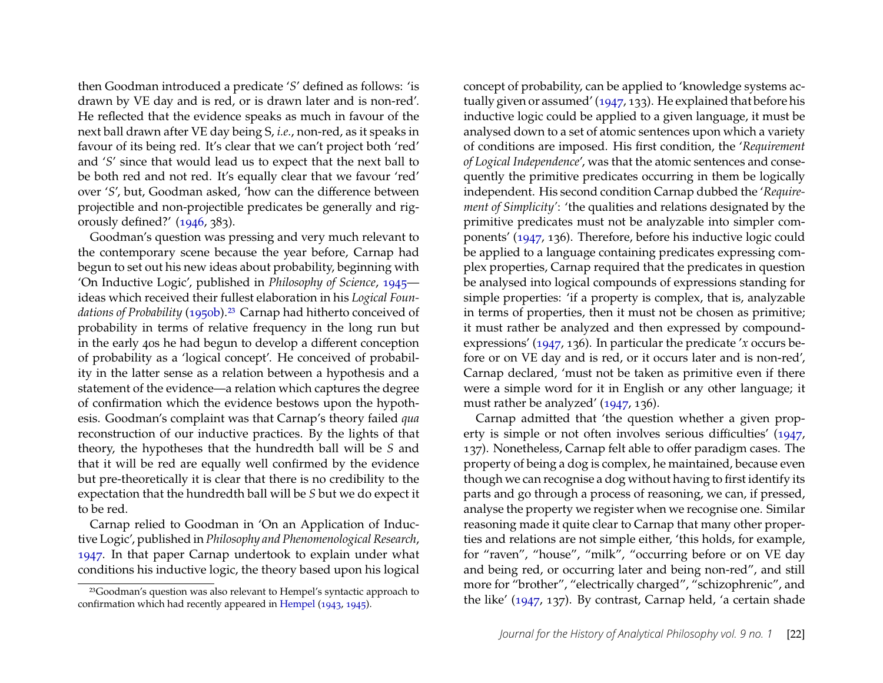then Goodman introduced a predicate '*S*' defined as follows: 'is drawn by VE day and is red, or is drawn later and is non-red'. He reflected that the evidence speaks as much in favour of the next ball drawn after VE day being S, *i.e.*, non-red, as it speaks in favour of its being red. It's clear that we can't project both 'red' and '*S*' since that would lead us to expect that the next ball to be both red and not red. It's equally clear that we favour 'red' over '*S*', but, Goodman asked, 'how can the difference between projectible and non-projectible predicates be generally and rigorously defined?' [\(1946,](#page-29-20) 383).

Goodman's question was pressing and very much relevant to the contemporary scene because the year before, Carnap had begun to set out his new ideas about probability, beginning with 'On Inductive Logic', published in *Philosophy of Science*, [1945](#page-28-15) ideas which received their fullest elaboration in his *Logical Foun-*dations of Probability [\(1950b\)](#page-28-16).<sup>[23](#page-22-0)</sup> Carnap had hitherto conceived of probability in terms of relative frequency in the long run but in the early 40s he had begun to develop a different conception of probability as a 'logical concept'. He conceived of probability in the latter sense as a relation between a hypothesis and a statement of the evidence—a relation which captures the degree of confirmation which the evidence bestows upon the hypothesis. Goodman's complaint was that Carnap's theory failed *qua* reconstruction of our inductive practices. By the lights of that theory, the hypotheses that the hundredth ball will be *S* and that it will be red are equally well confirmed by the evidence but pre-theoretically it is clear that there is no credibility to the expectation that the hundredth ball will be *S* but we do expect it to be red.

Carnap relied to Goodman in 'On an Application of Inductive Logic', published in *Philosophy and Phenomenological Research*, [1947.](#page-28-17) In that paper Carnap undertook to explain under what conditions his inductive logic, the theory based upon his logical

concept of probability, can be applied to 'knowledge systems actually given or assumed' [\(1947,](#page-28-17) 133). He explained that before his inductive logic could be applied to a given language, it must be analysed down to a set of atomic sentences upon which a variety of conditions are imposed. His first condition, the '*Requirement of Logical Independence*', was that the atomic sentences and consequently the primitive predicates occurring in them be logically independent. His second condition Carnap dubbed the '*Requirement of Simplicity'*: 'the qualities and relations designated by the primitive predicates must not be analyzable into simpler components' [\(1947,](#page-28-17) 136). Therefore, before his inductive logic could be applied to a language containing predicates expressing complex properties, Carnap required that the predicates in question be analysed into logical compounds of expressions standing for simple properties: 'if a property is complex, that is, analyzable in terms of properties, then it must not be chosen as primitive; it must rather be analyzed and then expressed by compoundexpressions' [\(1947,](#page-28-17) 136). In particular the predicate '*x* occurs before or on VE day and is red, or it occurs later and is non-red', Carnap declared, 'must not be taken as primitive even if there were a simple word for it in English or any other language; it must rather be analyzed' [\(1947,](#page-28-17) 136).

Carnap admitted that 'the question whether a given property is simple or not often involves serious difficulties' [\(1947,](#page-28-17) 137). Nonetheless, Carnap felt able to offer paradigm cases. The property of being a dog is complex, he maintained, because even though we can recognise a dog without having to first identify its parts and go through a process of reasoning, we can, if pressed, analyse the property we register when we recognise one. Similar reasoning made it quite clear to Carnap that many other properties and relations are not simple either, 'this holds, for example, for "raven", "house", "milk", "occurring before or on VE day and being red, or occurring later and being non-red", and still more for "brother", "electrically charged", "schizophrenic", and the like' [\(1947,](#page-28-17) 137). By contrast, Carnap held, 'a certain shade

<span id="page-22-0"></span><sup>23</sup>Goodman's question was also relevant to Hempel's syntactic approach to confirmation which had recently appeared in [Hempel](#page-30-19) [\(1943,](#page-30-19) [1945\)](#page-30-20).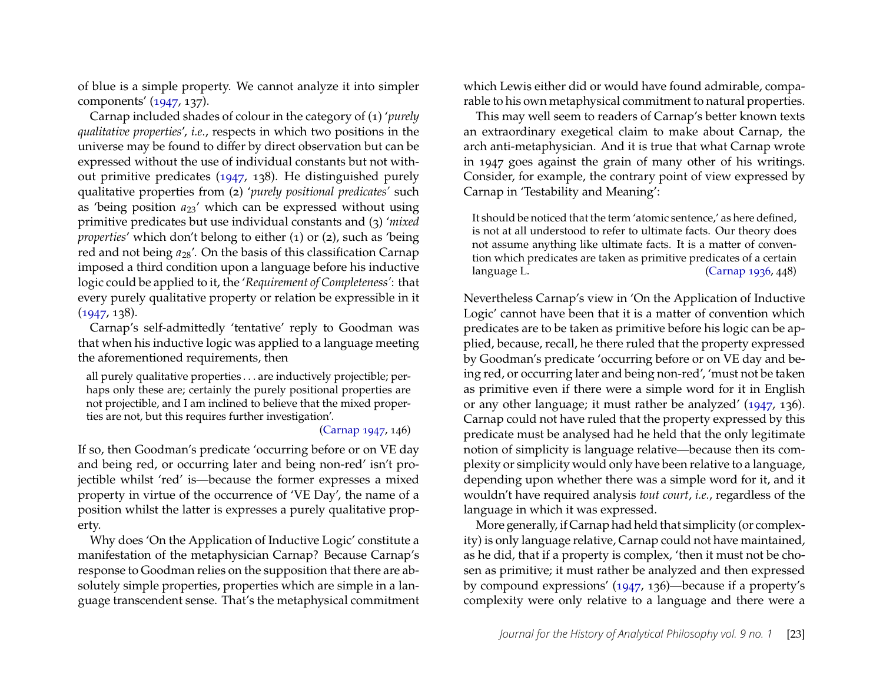of blue is a simple property. We cannot analyze it into simpler components' [\(1947,](#page-28-17) 137).

Carnap included shades of colour in the category of (1) '*purely qualitative properties*', *i.e.*, respects in which two positions in the universe may be found to differ by direct observation but can be expressed without the use of individual constants but not without primitive predicates [\(1947,](#page-28-17) 138). He distinguished purely qualitative properties from (2) '*purely positional predicates'* such as 'being position  $a_{23}$ ' which can be expressed without using primitive predicates but use individual constants and (3) '*mixed properties*' which don't belong to either (1) or (2), such as 'being red and not being  $a_{28}'$ . On the basis of this classification Carnap imposed a third condition upon a language before his inductive logic could be applied to it, the '*Requirement of Completeness'*: that every purely qualitative property or relation be expressible in it  $(1947, 138)$  $(1947, 138)$ .

Carnap's self-admittedly 'tentative' reply to Goodman was that when his inductive logic was applied to a language meeting the aforementioned requirements, then

all purely qualitative properties . . . are inductively projectible; perhaps only these are; certainly the purely positional properties are not projectible, and I am inclined to believe that the mixed properties are not, but this requires further investigation'.

#### [\(Carnap 1947,](#page-28-17) 146)

If so, then Goodman's predicate 'occurring before or on VE day and being red, or occurring later and being non-red' isn't projectible whilst 'red' is—because the former expresses a mixed property in virtue of the occurrence of 'VE Day', the name of a position whilst the latter is expresses a purely qualitative property.

Why does 'On the Application of Inductive Logic' constitute a manifestation of the metaphysician Carnap? Because Carnap's response to Goodman relies on the supposition that there are absolutely simple properties, properties which are simple in a language transcendent sense. That's the metaphysical commitment which Lewis either did or would have found admirable, comparable to his own metaphysical commitment to natural properties.

This may well seem to readers of Carnap's better known texts an extraordinary exegetical claim to make about Carnap, the arch anti-metaphysician. And it is true that what Carnap wrote in 1947 goes against the grain of many other of his writings. Consider, for example, the contrary point of view expressed by Carnap in 'Testability and Meaning':

It should be noticed that the term 'atomic sentence,' as here defined, is not at all understood to refer to ultimate facts. Our theory does not assume anything like ultimate facts. It is a matter of convention which predicates are taken as primitive predicates of a certain language L. [\(Carnap 1936,](#page-28-18) 448)

Nevertheless Carnap's view in 'On the Application of Inductive Logic' cannot have been that it is a matter of convention which predicates are to be taken as primitive before his logic can be applied, because, recall, he there ruled that the property expressed by Goodman's predicate 'occurring before or on VE day and being red, or occurring later and being non-red', 'must not be taken as primitive even if there were a simple word for it in English or any other language; it must rather be analyzed' [\(1947,](#page-28-17) 136). Carnap could not have ruled that the property expressed by this predicate must be analysed had he held that the only legitimate notion of simplicity is language relative—because then its complexity or simplicity would only have been relative to a language, depending upon whether there was a simple word for it, and it wouldn't have required analysis *tout court*, *i.e.*, regardless of the language in which it was expressed.

More generally, if Carnap had held that simplicity (or complexity) is only language relative, Carnap could not have maintained, as he did, that if a property is complex, 'then it must not be chosen as primitive; it must rather be analyzed and then expressed by compound expressions' [\(1947,](#page-28-17) 136)—because if a property's complexity were only relative to a language and there were a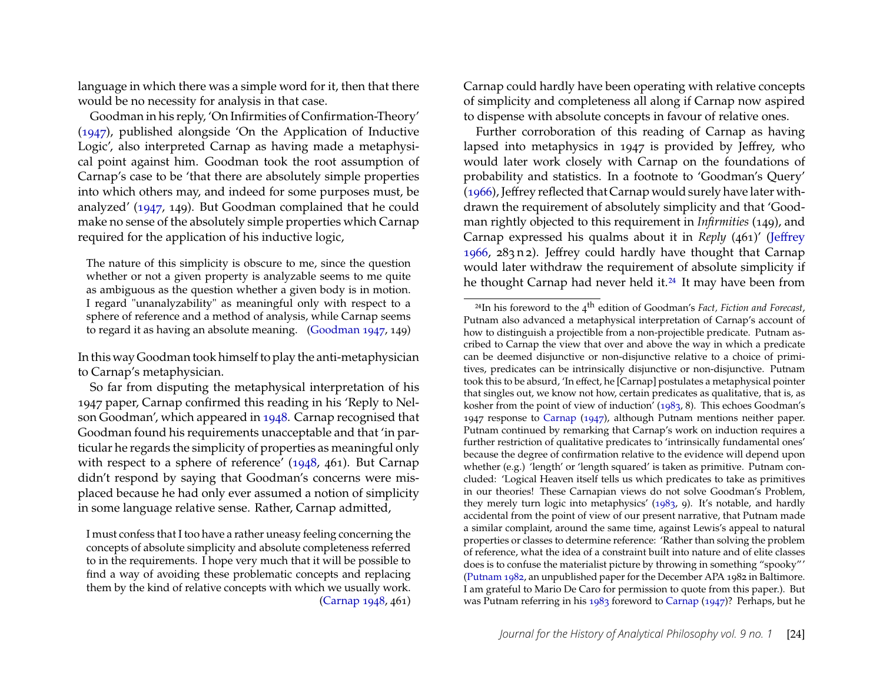language in which there was a simple word for it, then that there would be no necessity for analysis in that case.

Goodman in his reply, 'On Infirmities of Confirmation-Theory' [\(1947\)](#page-29-21), published alongside 'On the Application of Inductive Logic', also interpreted Carnap as having made a metaphysical point against him. Goodman took the root assumption of Carnap's case to be 'that there are absolutely simple properties into which others may, and indeed for some purposes must, be analyzed' [\(1947,](#page-29-21) 149). But Goodman complained that he could make no sense of the absolutely simple properties which Carnap required for the application of his inductive logic,

The nature of this simplicity is obscure to me, since the question whether or not a given property is analyzable seems to me quite as ambiguous as the question whether a given body is in motion. I regard "unanalyzability" as meaningful only with respect to a sphere of reference and a method of analysis, while Carnap seems to regard it as having an absolute meaning. [\(Goodman 1947,](#page-29-21) 149)

In this way Goodman took himself to play the anti-metaphysician to Carnap's metaphysician.

So far from disputing the metaphysical interpretation of his 1947 paper, Carnap confirmed this reading in his 'Reply to Nelson Goodman', which appeared in [1948.](#page-28-19) Carnap recognised that Goodman found his requirements unacceptable and that 'in particular he regards the simplicity of properties as meaningful only with respect to a sphere of reference' [\(1948,](#page-28-19) 461). But Carnap didn't respond by saying that Goodman's concerns were misplaced because he had only ever assumed a notion of simplicity in some language relative sense. Rather, Carnap admitted,

Carnap could hardly have been operating with relative concepts of simplicity and completeness all along if Carnap now aspired to dispense with absolute concepts in favour of relative ones.

Further corroboration of this reading of Carnap as having lapsed into metaphysics in 1947 is provided by Jeffrey, who would later work closely with Carnap on the foundations of probability and statistics. In a footnote to 'Goodman's Query' [\(1966\)](#page-30-21), Jeffrey reflected that Carnap would surely have later withdrawn the requirement of absolutely simplicity and that 'Goodman rightly objected to this requirement in *Infirmities* (149), and Carnap expressed his qualms about it in *Reply* (461)' [\(Jeffrey](#page-30-21) [1966,](#page-30-21) 283 n 2). Jeffrey could hardly have thought that Carnap would later withdraw the requirement of absolute simplicity if he thought Carnap had never held it.<sup>[24](#page-24-0)</sup> It may have been from

I must confess that I too have a rather uneasy feeling concerning the concepts of absolute simplicity and absolute completeness referred to in the requirements. I hope very much that it will be possible to find a way of avoiding these problematic concepts and replacing them by the kind of relative concepts with which we usually work. [\(Carnap 1948,](#page-28-19) 461)

<span id="page-24-0"></span><sup>24</sup>In his foreword to the 4th edition of Goodman's *Fact, Fiction and Forecast*, Putnam also advanced a metaphysical interpretation of Carnap's account of how to distinguish a projectible from a non-projectible predicate. Putnam ascribed to Carnap the view that over and above the way in which a predicate can be deemed disjunctive or non-disjunctive relative to a choice of primitives, predicates can be intrinsically disjunctive or non-disjunctive. Putnam took this to be absurd, 'In effect, he [Carnap] postulates a metaphysical pointer that singles out, we know not how, certain predicates as qualitative, that is, as kosher from the point of view of induction' [\(1983,](#page-31-19) 8). This echoes Goodman's 1947 response to [Carnap](#page-28-17) [\(1947\)](#page-28-17), although Putnam mentions neither paper. Putnam continued by remarking that Carnap's work on induction requires a further restriction of qualitative predicates to 'intrinsically fundamental ones' because the degree of confirmation relative to the evidence will depend upon whether (e.g.) 'length' or 'length squared' is taken as primitive. Putnam concluded: 'Logical Heaven itself tells us which predicates to take as primitives in our theories! These Carnapian views do not solve Goodman's Problem, they merely turn logic into metaphysics' [\(1983,](#page-31-19) 9). It's notable, and hardly accidental from the point of view of our present narrative, that Putnam made a similar complaint, around the same time, against Lewis's appeal to natural properties or classes to determine reference: 'Rather than solving the problem of reference, what the idea of a constraint built into nature and of elite classes does is to confuse the materialist picture by throwing in something "spooky"' [\(Putnam 1982,](#page-31-20) an unpublished paper for the December APA 1982 in Baltimore. I am grateful to Mario De Caro for permission to quote from this paper.). But was Putnam referring in his [1983](#page-31-19) foreword to [Carnap](#page-28-17) [\(1947\)](#page-28-17)? Perhaps, but he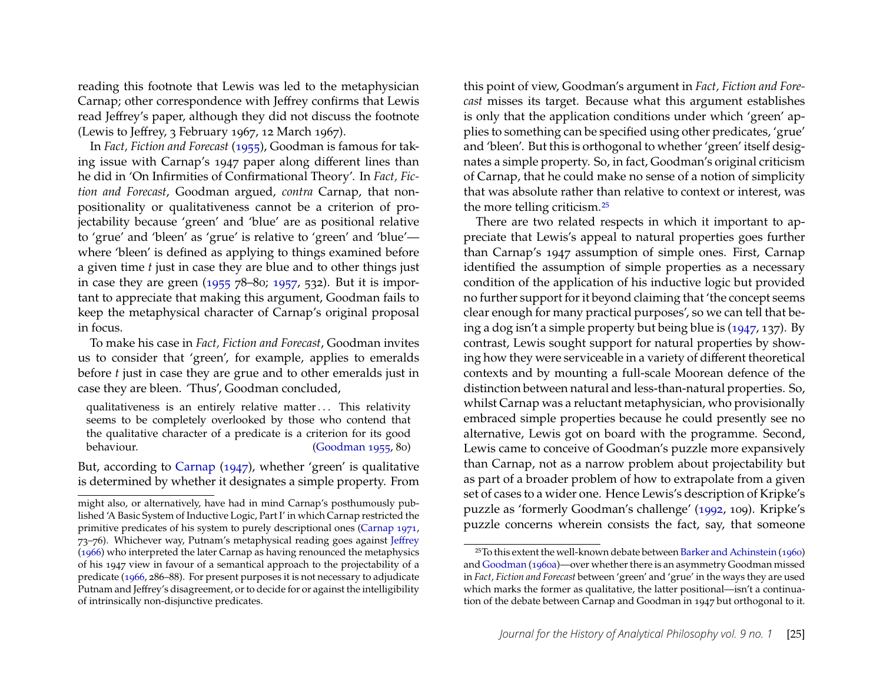reading this footnote that Lewis was led to the metaphysician Carnap; other correspondence with Jeffrey confirms that Lewis read Jeffrey's paper, although they did not discuss the footnote (Lewis to Jeffrey, 3 February 1967, 12 March 1967).

In *Fact, Fiction and Forecast* [\(1955\)](#page-29-7), Goodman is famous for taking issue with Carnap's 1947 paper along different lines than he did in 'On Infirmities of Confirmational Theory'. In *Fact, Fiction and Forecast*, Goodman argued, *contra* Carnap, that nonpositionality or qualitativeness cannot be a criterion of projectability because 'green' and 'blue' are as positional relative to 'grue' and 'bleen' as 'grue' is relative to 'green' and 'blue' where 'bleen' is defined as applying to things examined before a given time *t* just in case they are blue and to other things just in case they are green [\(1955](#page-29-7) 78–80; [1957,](#page-29-22) 532). But it is important to appreciate that making this argument, Goodman fails to keep the metaphysical character of Carnap's original proposal in focus.

To make his case in *Fact, Fiction and Forecast*, Goodman invites us to consider that 'green', for example, applies to emeralds before *t* just in case they are grue and to other emeralds just in case they are bleen. 'Thus', Goodman concluded,

qualitativeness is an entirely relative matter ... This relativity seems to be completely overlooked by those who contend that the qualitative character of a predicate is a criterion for its good behaviour. [\(Goodman 1955,](#page-29-7) 80)

But, according to [Carnap](#page-28-17) [\(1947\)](#page-28-17), whether 'green' is qualitative is determined by whether it designates a simple property. From

this point of view, Goodman's argument in *Fact, Fiction and Forecast* misses its target. Because what this argument establishes is only that the application conditions under which 'green' applies to something can be specified using other predicates, 'grue' and 'bleen'. But this is orthogonal to whether 'green' itself designates a simple property. So, in fact, Goodman's original criticism of Carnap, that he could make no sense of a notion of simplicity that was absolute rather than relative to context or interest, was the more telling criticism.[25](#page-25-0)

There are two related respects in which it important to appreciate that Lewis's appeal to natural properties goes further than Carnap's 1947 assumption of simple ones. First, Carnap identified the assumption of simple properties as a necessary condition of the application of his inductive logic but provided no further support for it beyond claiming that 'the concept seems clear enough for many practical purposes', so we can tell that being a dog isn't a simple property but being blue is [\(1947,](#page-28-17) 137). By contrast, Lewis sought support for natural properties by showing how they were serviceable in a variety of different theoretical contexts and by mounting a full-scale Moorean defence of the distinction between natural and less-than-natural properties. So, whilst Carnap was a reluctant metaphysician, who provisionally embraced simple properties because he could presently see no alternative, Lewis got on board with the programme. Second, Lewis came to conceive of Goodman's puzzle more expansively than Carnap, not as a narrow problem about projectability but as part of a broader problem of how to extrapolate from a given set of cases to a wider one. Hence Lewis's description of Kripke's puzzle as 'formerly Goodman's challenge' [\(1992,](#page-30-22) 109). Kripke's puzzle concerns wherein consists the fact, say, that someone

might also, or alternatively, have had in mind Carnap's posthumously published 'A Basic System of Inductive Logic, Part I' in which Carnap restricted the primitive predicates of his system to purely descriptional ones [\(Carnap 1971,](#page-28-20) 73–76). Whichever way, Putnam's metaphysical reading goes against [Jeffrey](#page-30-21) [\(1966\)](#page-30-21) who interpreted the later Carnap as having renounced the metaphysics of his 1947 view in favour of a semantical approach to the projectability of a predicate [\(1966,](#page-30-21) 286–88). For present purposes it is not necessary to adjudicate Putnam and Jeffrey's disagreement, or to decide for or against the intelligibility of intrinsically non-disjunctive predicates.

<span id="page-25-0"></span><sup>25</sup>To this extent the well-known debate between [Barker and Achinstein](#page-27-2) [\(1960\)](#page-27-2) and [Goodman](#page-29-6) [\(1960a\)](#page-29-6)—over whether there is an asymmetry Goodman missed in *Fact, Fiction and Forecast* between 'green' and 'grue' in the ways they are used which marks the former as qualitative, the latter positional—isn't a continuation of the debate between Carnap and Goodman in 1947 but orthogonal to it.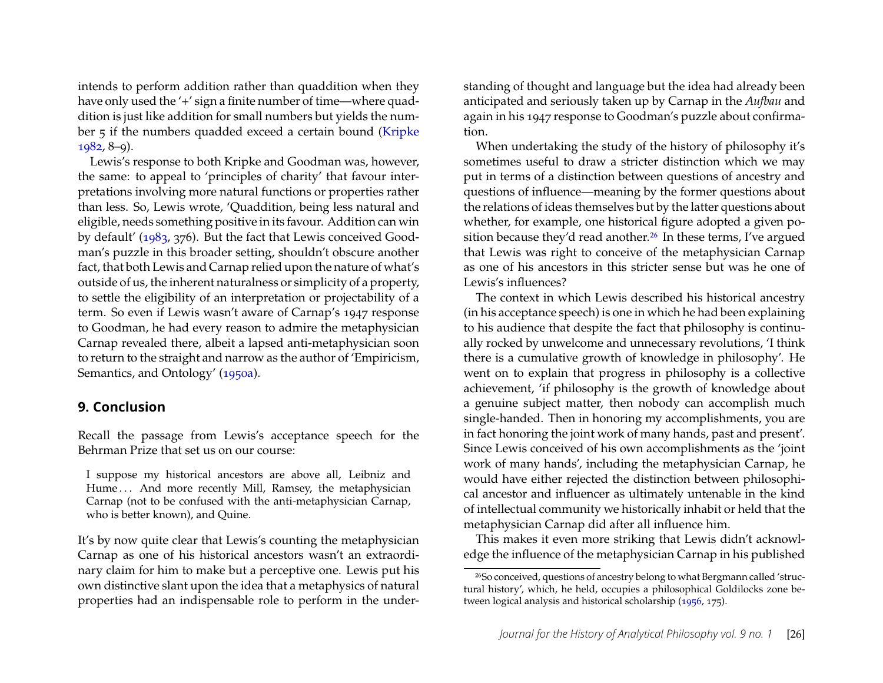intends to perform addition rather than quaddition when they have only used the '+' sign a finite number of time—where quaddition is just like addition for small numbers but yields the number 5 if the numbers quadded exceed a certain bound [\(Kripke](#page-30-23) [1982,](#page-30-23) 8–9).

Lewis's response to both Kripke and Goodman was, however, the same: to appeal to 'principles of charity' that favour interpretations involving more natural functions or properties rather than less. So, Lewis wrote, 'Quaddition, being less natural and eligible, needs something positive in its favour. Addition can win by default' [\(1983,](#page-30-8) 376). But the fact that Lewis conceived Goodman's puzzle in this broader setting, shouldn't obscure another fact, that both Lewis and Carnap relied upon the nature of what's outside of us, the inherent naturalness or simplicity of a property, to settle the eligibility of an interpretation or projectability of a term. So even if Lewis wasn't aware of Carnap's 1947 response to Goodman, he had every reason to admire the metaphysician Carnap revealed there, albeit a lapsed anti-metaphysician soon to return to the straight and narrow as the author of 'Empiricism, Semantics, and Ontology' [\(1950a\)](#page-28-1).

#### **9. Conclusion**

Recall the passage from Lewis's acceptance speech for the Behrman Prize that set us on our course:

I suppose my historical ancestors are above all, Leibniz and Hume... And more recently Mill, Ramsey, the metaphysician Carnap (not to be confused with the anti-metaphysician Carnap, who is better known), and Quine.

It's by now quite clear that Lewis's counting the metaphysician Carnap as one of his historical ancestors wasn't an extraordinary claim for him to make but a perceptive one. Lewis put his own distinctive slant upon the idea that a metaphysics of natural properties had an indispensable role to perform in the under-

standing of thought and language but the idea had already been anticipated and seriously taken up by Carnap in the *Aufbau* and again in his 1947 response to Goodman's puzzle about confirmation.

When undertaking the study of the history of philosophy it's sometimes useful to draw a stricter distinction which we may put in terms of a distinction between questions of ancestry and questions of influence—meaning by the former questions about the relations of ideas themselves but by the latter questions about whether, for example, one historical figure adopted a given po-sition because they'd read another.<sup>[26](#page-26-0)</sup> In these terms, I've argued that Lewis was right to conceive of the metaphysician Carnap as one of his ancestors in this stricter sense but was he one of Lewis's influences?

The context in which Lewis described his historical ancestry (in his acceptance speech) is one in which he had been explaining to his audience that despite the fact that philosophy is continually rocked by unwelcome and unnecessary revolutions, 'I think there is a cumulative growth of knowledge in philosophy'. He went on to explain that progress in philosophy is a collective achievement, 'if philosophy is the growth of knowledge about a genuine subject matter, then nobody can accomplish much single-handed. Then in honoring my accomplishments, you are in fact honoring the joint work of many hands, past and present'. Since Lewis conceived of his own accomplishments as the 'joint work of many hands', including the metaphysician Carnap, he would have either rejected the distinction between philosophical ancestor and influencer as ultimately untenable in the kind of intellectual community we historically inhabit or held that the metaphysician Carnap did after all influence him.

This makes it even more striking that Lewis didn't acknowledge the influence of the metaphysician Carnap in his published

<span id="page-26-0"></span><sup>26</sup>So conceived, questions of ancestry belong to what Bergmann called 'structural history', which, he held, occupies a philosophical Goldilocks zone between logical analysis and historical scholarship [\(1956,](#page-28-21) 175).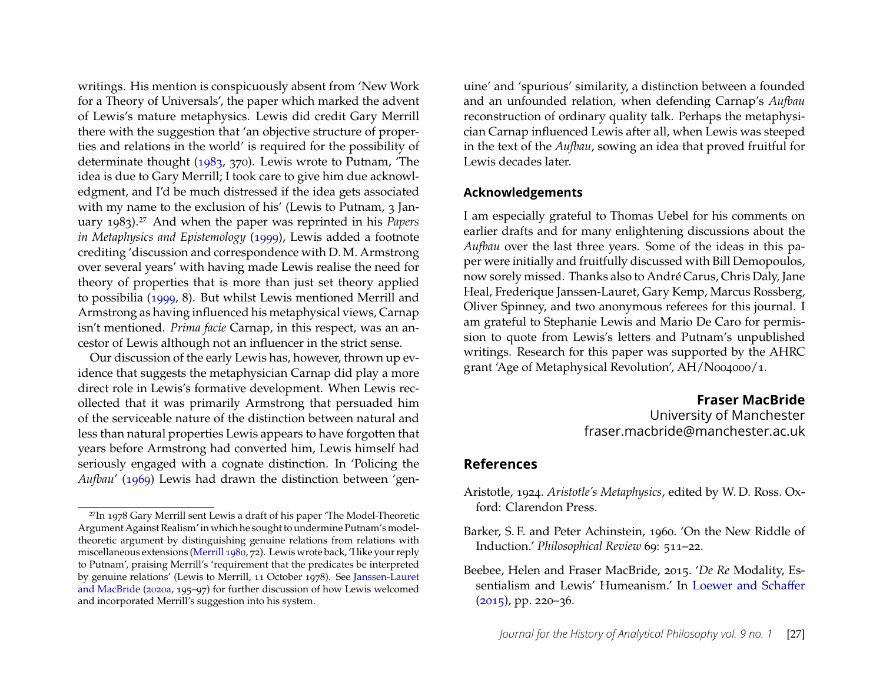writings. His mention is conspicuously absent from 'New Work for a Theory of Universals', the paper which marked the advent of Lewis's mature metaphysics. Lewis did credit Gary Merrill there with the suggestion that 'an objective structure of properties and relations in the world' is required for the possibility of determinate thought [\(1983,](#page-30-8) 370). Lewis wrote to Putnam, 'The idea is due to Gary Merrill; I took care to give him due acknowledgment, and I'd be much distressed if the idea gets associated with my name to the exclusion of his' (Lewis to Putnam, 3 January 1983).[27](#page-27-3) And when the paper was reprinted in his *Papers in Metaphysics and Epistemology* [\(1999\)](#page-30-7), Lewis added a footnote crediting 'discussion and correspondence with D. M. Armstrong over several years' with having made Lewis realise the need for theory of properties that is more than just set theory applied to possibilia [\(1999,](#page-30-7) 8). But whilst Lewis mentioned Merrill and Armstrong as having influenced his metaphysical views, Carnap isn't mentioned. *Prima facie* Carnap, in this respect, was an ancestor of Lewis although not an influencer in the strict sense.

Our discussion of the early Lewis has, however, thrown up evidence that suggests the metaphysician Carnap did play a more direct role in Lewis's formative development. When Lewis recollected that it was primarily Armstrong that persuaded him of the serviceable nature of the distinction between natural and less than natural properties Lewis appears to have forgotten that years before Armstrong had converted him, Lewis himself had seriously engaged with a cognate distinction. In 'Policing the *Aufbau*' [\(1969\)](#page-30-15) Lewis had drawn the distinction between 'gen-

uine' and 'spurious' similarity, a distinction between a founded and an unfounded relation, when defending Carnap's *Aufbau* reconstruction of ordinary quality talk. Perhaps the metaphysician Carnap influenced Lewis after all, when Lewis was steeped in the text of the *Aufbau*, sowing an idea that proved fruitful for Lewis decades later.

#### **Acknowledgements**

I am especially grateful to Thomas Uebel for his comments on earlier drafts and for many enlightening discussions about the *Aufbau* over the last three years. Some of the ideas in this paper were initially and fruitfully discussed with Bill Demopoulos, now sorely missed. Thanks also to André Carus, Chris Daly, Jane Heal, Frederique Janssen-Lauret, Gary Kemp, Marcus Rossberg, Oliver Spinney, and two anonymous referees for this journal. I am grateful to Stephanie Lewis and Mario De Caro for permission to quote from Lewis's letters and Putnam's unpublished writings. Research for this paper was supported by the AHRC grant 'Age of Metaphysical Revolution', AH/N004000/1.

#### **Fraser MacBride**

University of Manchester fraser.macbride@manchester.ac.uk

#### **References**

- <span id="page-27-1"></span>Aristotle, 1924. *Aristotle's Metaphysics*, edited by W. D. Ross. Oxford: Clarendon Press.
- <span id="page-27-2"></span>Barker, S. F. and Peter Achinstein, 1960. 'On the New Riddle of Induction.' *Philosophical Review* 69: 511–22.
- <span id="page-27-0"></span>Beebee, Helen and Fraser MacBride, 2015. '*De Re* Modality, Essentialism and Lewis' Humeanism.' In [Loewer and Schaffer](#page-31-22)  $(2015)$ , pp. 220–36.

<span id="page-27-3"></span><sup>27</sup>In 1978 Gary Merrill sent Lewis a draft of his paper 'The Model-Theoretic Argument Against Realism' in which he sought to undermine Putnam's modeltheoretic argument by distinguishing genuine relations from relations with miscellaneous extensions [\(Merrill 1980,](#page-31-21) 72). Lewis wrote back, 'I like your reply to Putnam', praising Merrill's 'requirement that the predicates be interpreted by genuine relations' (Lewis to Merrill, 11 October 1978). See [Janssen-Lauret](#page-30-9) [and MacBride](#page-30-9) [\(2020a,](#page-30-9) 195–97) for further discussion of how Lewis welcomed and incorporated Merrill's suggestion into his system.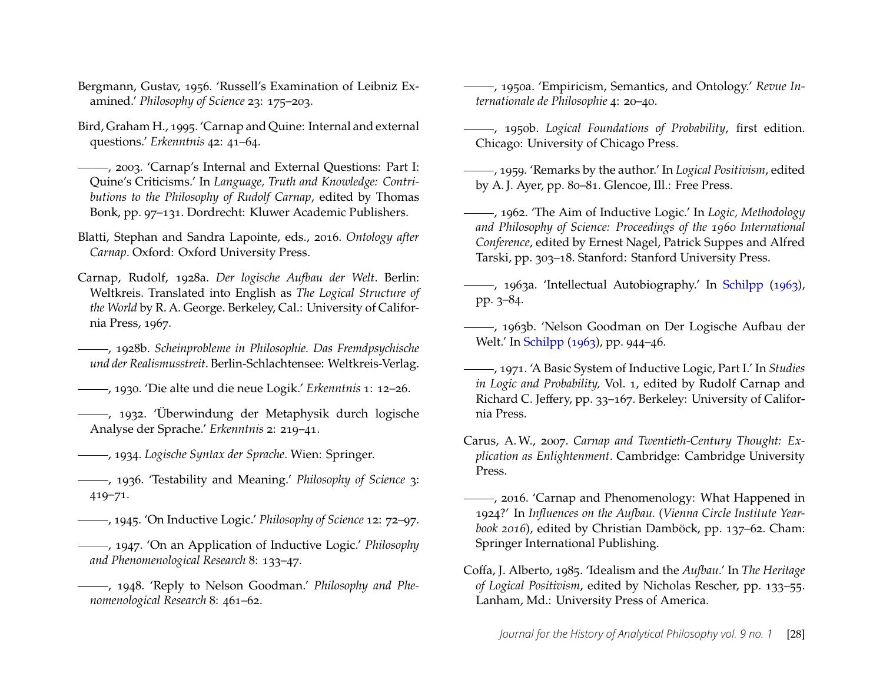- <span id="page-28-21"></span>Bergmann, Gustav, 1956. 'Russell's Examination of Leibniz Examined.' *Philosophy of Science* 23: 175–203.
- <span id="page-28-2"></span>Bird, Graham H., 1995. 'Carnap and Quine: Internal and external questions.' *Erkenntnis* 42: 41–64.
- <span id="page-28-3"></span>, 2003. 'Carnap's Internal and External Questions: Part I: Quine's Criticisms.' In *Language, Truth and Knowledge: Contributions to the Philosophy of Rudolf Carnap*, edited by Thomas Bonk, pp. 97–131. Dordrecht: Kluwer Academic Publishers.
- <span id="page-28-22"></span>Blatti, Stephan and Sandra Lapointe, eds., 2016. *Ontology after Carnap*. Oxford: Oxford University Press.
- <span id="page-28-4"></span>Carnap, Rudolf, 1928a. *Der logische Aufbau der Welt*. Berlin: Weltkreis. Translated into English as *The Logical Structure of the World* by R. A. George. Berkeley, Cal.: University of California Press, 1967.
- <span id="page-28-14"></span>, 1928b. *Scheinprobleme in Philosophie. Das Fremdpsychische und der Realismusstreit*. Berlin-Schlachtensee: Weltkreis-Verlag.
- <span id="page-28-12"></span>, 1930. 'Die alte und die neue Logik.' *Erkenntnis* 1: 12–26.
- <span id="page-28-0"></span>, 1932. 'Überwindung der Metaphysik durch logische Analyse der Sprache.' *Erkenntnis* 2: 219–41.
- <span id="page-28-11"></span>, 1934. *Logische Syntax der Sprache*. Wien: Springer.
- <span id="page-28-18"></span>, 1936. 'Testability and Meaning.' *Philosophy of Science* 3: 419–71.
- <span id="page-28-15"></span>, 1945. 'On Inductive Logic.' *Philosophy of Science* 12: 72–97.
- <span id="page-28-17"></span>, 1947. 'On an Application of Inductive Logic.' *Philosophy and Phenomenological Research* 8: 133–47.
- <span id="page-28-19"></span>, 1948. 'Reply to Nelson Goodman.' *Philosophy and Phenomenological Research* 8: 461–62.
- <span id="page-28-1"></span>, 1950a. 'Empiricism, Semantics, and Ontology.' *Revue Internationale de Philosophie* 4: 20–40.
- <span id="page-28-16"></span>, 1950b. *Logical Foundations of Probability*, first edition. Chicago: University of Chicago Press.
- <span id="page-28-13"></span>, 1959. 'Remarks by the author.' In *Logical Positivism*, edited by A. J. Ayer, pp. 80–81. Glencoe, Ill.: Free Press.
- <span id="page-28-6"></span>, 1962. 'The Aim of Inductive Logic.' In *Logic, Methodology and Philosophy of Science: Proceedings of the 1960 International Conference*, edited by Ernest Nagel, Patrick Suppes and Alfred Tarski, pp. 303–18. Stanford: Stanford University Press.
- <span id="page-28-5"></span>, 1963a. 'Intellectual Autobiography.' In [Schilpp](#page-31-23) [\(1963\)](#page-31-23), pp. 3–84.
- <span id="page-28-7"></span>, 1963b. 'Nelson Goodman on Der Logische Aufbau der Welt.' In [Schilpp](#page-31-23) [\(1963\)](#page-31-23), pp. 944–46.
- <span id="page-28-20"></span>, 1971. 'A Basic System of Inductive Logic, Part I.' In *Studies in Logic and Probability,* Vol. 1, edited by Rudolf Carnap and Richard C. Jeffery, pp. 33–167. Berkeley: University of California Press.
- <span id="page-28-9"></span>Carus, A. W., 2007. *Carnap and Twentieth-Century Thought: Explication as Enlightenment*. Cambridge: Cambridge University Press.
- <span id="page-28-10"></span>, 2016. 'Carnap and Phenomenology: What Happened in 1924?' In *Influences on the Aufbau.* (*Vienna Circle Institute Yearbook 2016*), edited by Christian Damböck, pp. 137–62. Cham: Springer International Publishing.
- <span id="page-28-8"></span>Coffa, J. Alberto, 1985. 'Idealism and the *Aufbau*.' In *The Heritage of Logical Positivism*, edited by Nicholas Rescher, pp. 133–55. Lanham, Md.: University Press of America.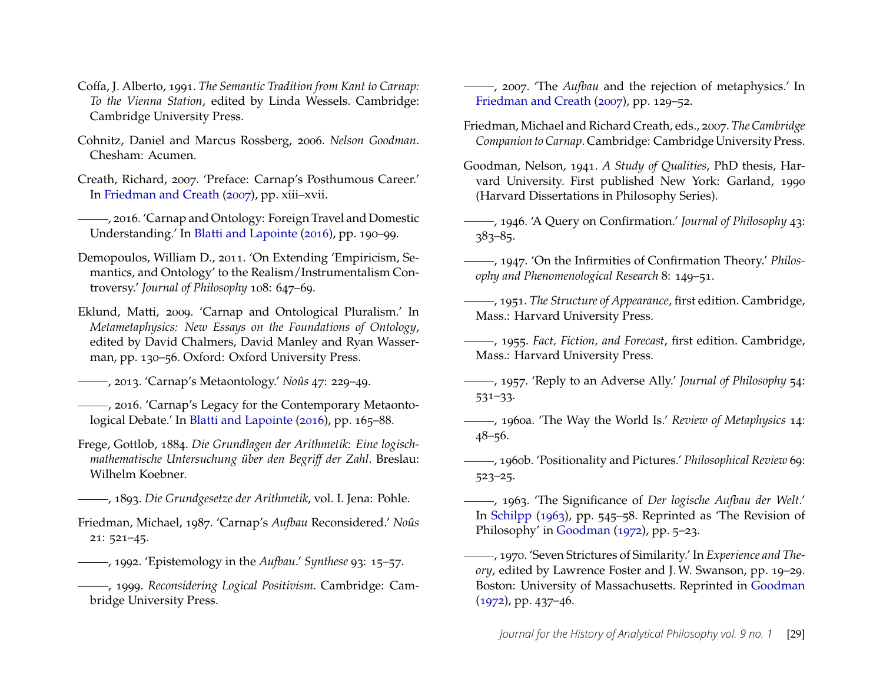- <span id="page-29-16"></span>Coffa, J. Alberto, 1991. *The Semantic Tradition from Kant to Carnap: To the Vienna Station*, edited by Linda Wessels. Cambridge: Cambridge University Press.
- <span id="page-29-14"></span>Cohnitz, Daniel and Marcus Rossberg, 2006. *Nelson Goodman*. Chesham: Acumen.
- <span id="page-29-5"></span>Creath, Richard, 2007. 'Preface: Carnap's Posthumous Career.' In [Friedman and Creath](#page-29-23) [\(2007\)](#page-29-23), pp. xiii–xvii.
- <span id="page-29-3"></span>, 2016. 'Carnap and Ontology: Foreign Travel and Domestic Understanding.' In [Blatti and Lapointe](#page-28-22) [\(2016\)](#page-28-22), pp. 190–99.
- <span id="page-29-4"></span>Demopoulos, William D., 2011. 'On Extending 'Empiricism, Semantics, and Ontology' to the Realism/Instrumentalism Controversy.' *Journal of Philosophy* 108: 647–69.
- <span id="page-29-0"></span>Eklund, Matti, 2009. 'Carnap and Ontological Pluralism.' In *Metametaphysics: New Essays on the Foundations of Ontology*, edited by David Chalmers, David Manley and Ryan Wasserman, pp. 130–56. Oxford: Oxford University Press.
- <span id="page-29-1"></span>, 2013. 'Carnap's Metaontology.' *Noûs* 47: 229–49.
- <span id="page-29-2"></span>, 2016. 'Carnap's Legacy for the Contemporary Metaontological Debate.' In [Blatti and Lapointe](#page-28-22) [\(2016\)](#page-28-22), pp. 165–88.
- <span id="page-29-18"></span>Frege, Gottlob, 1884. *Die Grundlagen der Arithmetik: Eine logischmathematische Untersuchung über den Begriff der Zahl*. Breslau: Wilhelm Koebner.
- <span id="page-29-9"></span>, 1893. *Die Grundgesetze der Arithmetik*, vol. I. Jena: Pohle.
- <span id="page-29-13"></span>Friedman, Michael, 1987. 'Carnap's *Aufbau* Reconsidered.' *Noûs* 21: 521–45.
- <span id="page-29-11"></span>, 1992. 'Epistemology in the *Aufbau*.' *Synthese* 93: 15–57.
- <span id="page-29-17"></span>, 1999. *Reconsidering Logical Positivism*. Cambridge: Cambridge University Press.
- <span id="page-29-19"></span>, 2007. 'The *Aufbau* and the rejection of metaphysics.' In [Friedman and Creath](#page-29-23) [\(2007\)](#page-29-23), pp. 129–52.
- <span id="page-29-23"></span>Friedman, Michael and Richard Creath, eds., 2007. *The Cambridge Companion to Carnap*. Cambridge: Cambridge University Press.
- <span id="page-29-15"></span>Goodman, Nelson, 1941. *A Study of Qualities*, PhD thesis, Harvard University. First published New York: Garland, 1990 (Harvard Dissertations in Philosophy Series).
- <span id="page-29-20"></span>, 1946. 'A Query on Confirmation.' *Journal of Philosophy* 43: 383–85.
- <span id="page-29-21"></span>, 1947. 'On the Infirmities of Confirmation Theory.' *Philosophy and Phenomenological Research* 8: 149–51.
- <span id="page-29-10"></span>, 1951. *The Structure of Appearance*, first edition. Cambridge, Mass.: Harvard University Press.
- <span id="page-29-7"></span>, 1955. *Fact, Fiction, and Forecast*, first edition. Cambridge, Mass.: Harvard University Press.
- <span id="page-29-22"></span>, 1957. 'Reply to an Adverse Ally.' *Journal of Philosophy* 54: 531–33.
- <span id="page-29-6"></span>, 1960a. 'The Way the World Is.' *Review of Metaphysics* 14: 48–56.
- , 1960b. 'Positionality and Pictures.' *Philosophical Review* 69: 523–25.
- <span id="page-29-12"></span>, 1963. 'The Significance of *Der logische Aufbau der Welt*.' In [Schilpp](#page-31-23) [\(1963\)](#page-31-23), pp. 545–58. Reprinted as 'The Revision of Philosophy' in [Goodman](#page-30-24) [\(1972\)](#page-30-24), pp. 5–23.
- <span id="page-29-8"></span>, 1970. 'Seven Strictures of Similarity.' In *Experience and Theory*, edited by Lawrence Foster and J. W. Swanson, pp. 19–29. Boston: University of Massachusetts. Reprinted in [Goodman](#page-30-24) [\(1972\)](#page-30-24), pp. 437–46.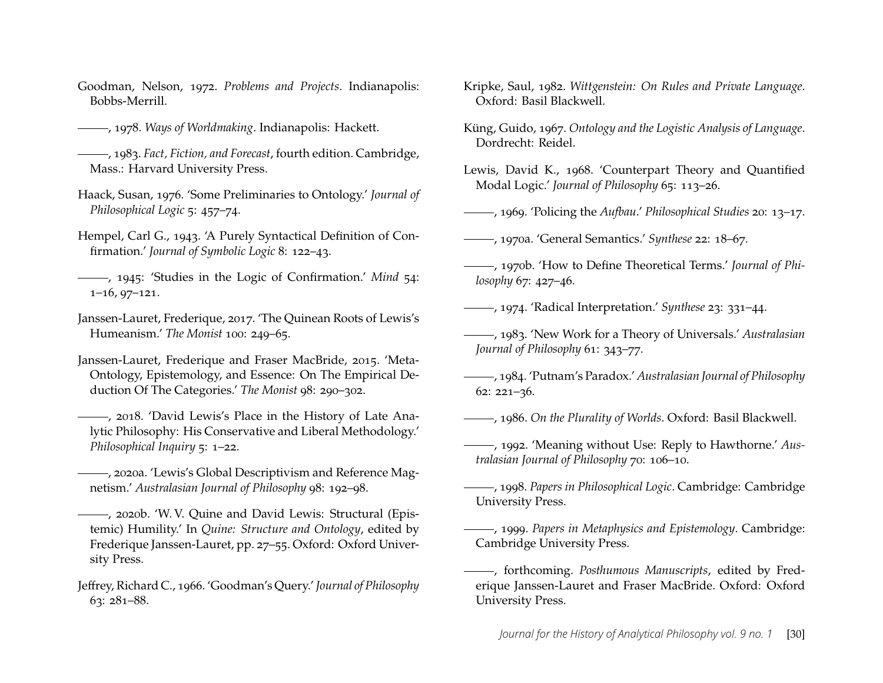- <span id="page-30-24"></span>Goodman, Nelson, 1972. *Problems and Projects*. Indianapolis: Bobbs-Merrill.
- <span id="page-30-10"></span>, 1978. *Ways of Worldmaking*. Indianapolis: Hackett.
- <span id="page-30-25"></span>, 1983. *Fact, Fiction, and Forecast*, fourth edition. Cambridge, Mass.: Harvard University Press.
- <span id="page-30-2"></span>Haack, Susan, 1976. 'Some Preliminaries to Ontology.' *Journal of Philosophical Logic* 5: 457–74.
- <span id="page-30-19"></span>Hempel, Carl G., 1943. 'A Purely Syntactical Definition of Confirmation.' *Journal of Symbolic Logic* 8: 122–43.
- <span id="page-30-20"></span>, 1945: 'Studies in the Logic of Confirmation.' *Mind* 54: 1–16, 97–121.
- <span id="page-30-11"></span>Janssen-Lauret, Frederique, 2017. 'The Quinean Roots of Lewis's Humeanism.' *The Monist* 100: 249–65.
- <span id="page-30-12"></span>Janssen-Lauret, Frederique and Fraser MacBride, 2015. 'Meta-Ontology, Epistemology, and Essence: On The Empirical Deduction Of The Categories.' *The Monist* 98: 290–302.
- <span id="page-30-13"></span>, 2018. 'David Lewis's Place in the History of Late Analytic Philosophy: His Conservative and Liberal Methodology.' *Philosophical Inquiry* 5: 1–22.
- <span id="page-30-9"></span>, 2020a. 'Lewis's Global Descriptivism and Reference Magnetism.' *Australasian Journal of Philosophy* 98: 192–98.
- <span id="page-30-14"></span>, 2020b. 'W. V. Quine and David Lewis: Structural (Epistemic) Humility.' In *Quine: Structure and Ontology*, edited by Frederique Janssen-Lauret, pp. 27–55. Oxford: Oxford University Press.
- <span id="page-30-21"></span>Jeffrey, Richard C., 1966. 'Goodman's Query.' *Journal of Philosophy* 63: 281–88.
- <span id="page-30-23"></span>Kripke, Saul, 1982. *Wittgenstein: On Rules and Private Language*. Oxford: Basil Blackwell.
- <span id="page-30-17"></span>Küng, Guido, 1967. *Ontology and the Logistic Analysis of Language*. Dordrecht: Reidel.
- <span id="page-30-18"></span>Lewis, David K., 1968. 'Counterpart Theory and Quantified Modal Logic.' *Journal of Philosophy* 65: 113–26.
- <span id="page-30-15"></span>, 1969. 'Policing the *Aufbau*.' *Philosophical Studies* 20: 13–17.
- <span id="page-30-3"></span>, 1970a. 'General Semantics.' *Synthese* 22: 18–67.
- <span id="page-30-4"></span>, 1970b. 'How to Define Theoretical Terms.' *Journal of Philosophy* 67: 427–46.
- <span id="page-30-6"></span>, 1974. 'Radical Interpretation.' *Synthese* 23: 331–44.
- <span id="page-30-8"></span>, 1983. 'New Work for a Theory of Universals.' *Australasian Journal of Philosophy* 61: 343–77.
- <span id="page-30-1"></span>, 1984. 'Putnam's Paradox.' *Australasian Journal of Philosophy* 62: 221–36.
- <span id="page-30-5"></span>, 1986. *On the Plurality of Worlds*. Oxford: Basil Blackwell.
- <span id="page-30-22"></span>, 1992. 'Meaning without Use: Reply to Hawthorne.' *Australasian Journal of Philosophy* 70: 106–10.
- <span id="page-30-16"></span>, 1998. *Papers in Philosophical Logic*. Cambridge: Cambridge University Press.
- <span id="page-30-7"></span>, 1999. *Papers in Metaphysics and Epistemology*. Cambridge: Cambridge University Press.
- <span id="page-30-0"></span>, forthcoming. *Posthumous Manuscripts*, edited by Frederique Janssen-Lauret and Fraser MacBride. Oxford: Oxford University Press.